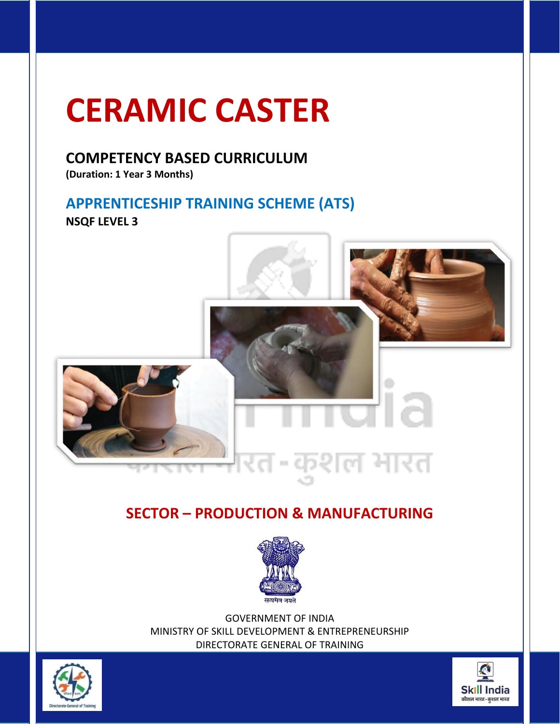## **CERAMIC CASTER**

## **COMPETENCY BASED CURRICULUM**

**(Duration: 1 Year 3 Months)**

## **APPRENTICESHIP TRAINING SCHEME (ATS)**

**NSQF LEVEL 3**



## **SECTOR – PRODUCTION & MANUFACTURING**



GOVERNMENT OF INDIA MINISTRY OF SKILL DEVELOPMENT & ENTREPRENEURSHIP DIRECTORATE GENERAL OF TRAINING



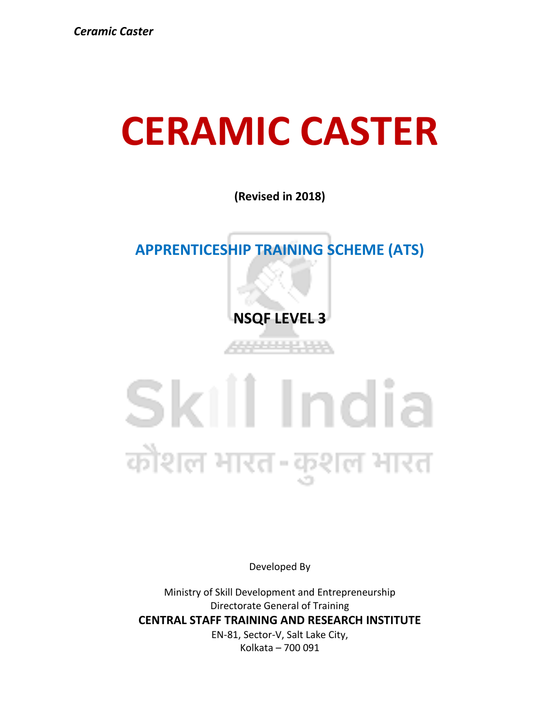## **CERAMIC CASTER**

**(Revised in 2018)**

## **APPRENTICESHIP TRAINING SCHEME (ATS)**

**NSQF LEVEL 3**

444444444

# Skill India कौशल भारत-कुशल भारत

Developed By

Ministry of Skill Development and Entrepreneurship Directorate General of Training **CENTRAL STAFF TRAINING AND RESEARCH INSTITUTE** EN-81, Sector-V, Salt Lake City, Kolkata – 700 091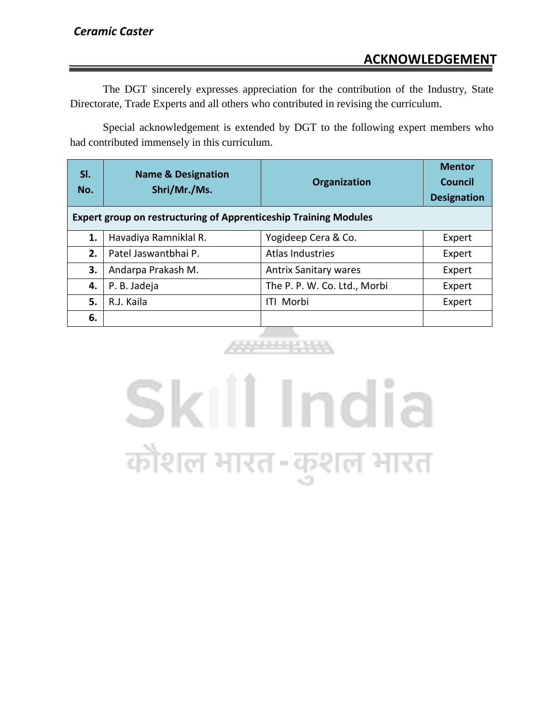The DGT sincerely expresses appreciation for the contribution of the Industry, State Directorate, Trade Experts and all others who contributed in revising the curriculum.

Special acknowledgement is extended by DGT to the following expert members who had contributed immensely in this curriculum.

| SI.<br>No.                                                              | <b>Name &amp; Designation</b><br>Shri/Mr./Ms. | Organization                 | <b>Mentor</b><br><b>Council</b><br><b>Designation</b> |
|-------------------------------------------------------------------------|-----------------------------------------------|------------------------------|-------------------------------------------------------|
| <b>Expert group on restructuring of Apprenticeship Training Modules</b> |                                               |                              |                                                       |
| 1.                                                                      | Havadiya Ramniklal R.                         | Yogideep Cera & Co.          | Expert                                                |
| 2.                                                                      | Patel Jaswantbhai P.                          | Atlas Industries             | Expert                                                |
| 3.                                                                      | Andarpa Prakash M.                            | <b>Antrix Sanitary wares</b> | Expert                                                |
| 4.                                                                      | P. B. Jadeja                                  | The P. P. W. Co. Ltd., Morbi | Expert                                                |
| 5.                                                                      | R.J. Kaila                                    | Morbi<br>ITI                 | Expert                                                |
| 6.                                                                      |                                               |                              |                                                       |

## **CARDINAL V**

## Skill India कौशल भारत-कुशल भारत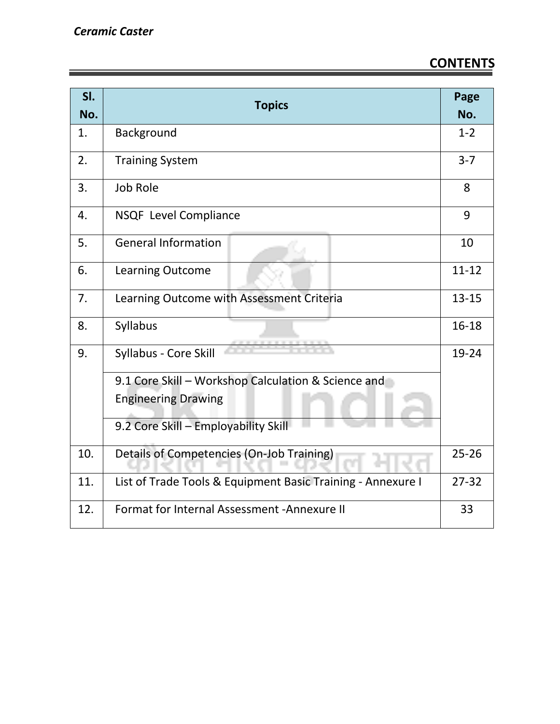## **CONTENTS**

| SI.<br>No. | <b>Topics</b>                                               | Page<br>No. |
|------------|-------------------------------------------------------------|-------------|
| 1.         | Background                                                  | $1 - 2$     |
| 2.         | <b>Training System</b>                                      | $3 - 7$     |
| 3.         | <b>Job Role</b>                                             | 8           |
| 4.         | NSQF Level Compliance                                       | 9           |
| 5.         | <b>General Information</b>                                  | 10          |
| 6.         | <b>Learning Outcome</b>                                     | $11 - 12$   |
| 7.         | Learning Outcome with Assessment Criteria                   | $13 - 15$   |
| 8.         | Syllabus                                                    | $16 - 18$   |
| 9.         | Syllabus - Core Skill                                       | 19-24       |
|            | 9.1 Core Skill - Workshop Calculation & Science and         |             |
|            | <b>Engineering Drawing</b>                                  |             |
|            | 9.2 Core Skill - Employability Skill                        |             |
| 10.        | Details of Competencies (On-Job Training)                   | $25 - 26$   |
| 11.        | List of Trade Tools & Equipment Basic Training - Annexure I | $27 - 32$   |
| 12.        | Format for Internal Assessment - Annexure II                | 33          |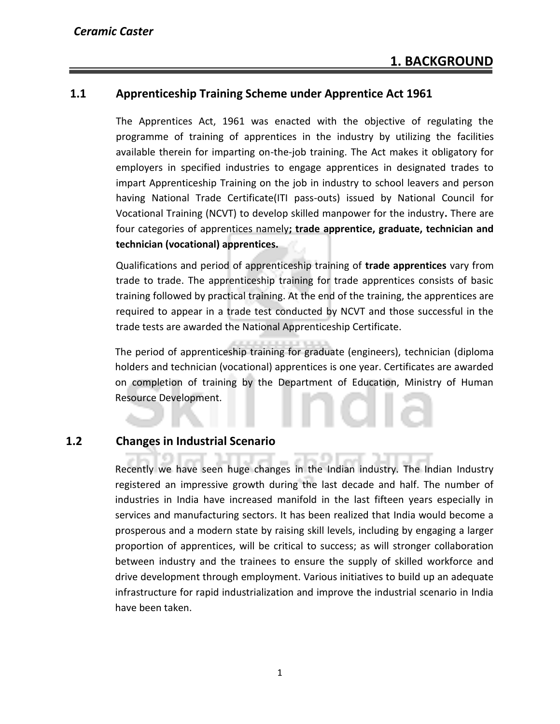#### **1.1 Apprenticeship Training Scheme under Apprentice Act 1961**

The Apprentices Act, 1961 was enacted with the objective of regulating the programme of training of apprentices in the industry by utilizing the facilities available therein for imparting on-the-job training. The Act makes it obligatory for employers in specified industries to engage apprentices in designated trades to impart Apprenticeship Training on the job in industry to school leavers and person having National Trade Certificate(ITI pass-outs) issued by National Council for Vocational Training (NCVT) to develop skilled manpower for the industry**.** There are four categories of apprentices namely**; trade apprentice, graduate, technician and technician (vocational) apprentices.** 

Qualifications and period of apprenticeship training of **trade apprentices** vary from trade to trade. The apprenticeship training for trade apprentices consists of basic training followed by practical training. At the end of the training, the apprentices are required to appear in a trade test conducted by NCVT and those successful in the trade tests are awarded the National Apprenticeship Certificate.

The period of apprenticeship training for graduate (engineers), technician (diploma holders and technician (vocational) apprentices is one year. Certificates are awarded on completion of training by the Department of Education, Ministry of Human Resource Development.

#### **1.2 Changes in Industrial Scenario**

Recently we have seen huge changes in the Indian industry. The Indian Industry registered an impressive growth during the last decade and half. The number of industries in India have increased manifold in the last fifteen years especially in services and manufacturing sectors. It has been realized that India would become a prosperous and a modern state by raising skill levels, including by engaging a larger proportion of apprentices, will be critical to success; as will stronger collaboration between industry and the trainees to ensure the supply of skilled workforce and drive development through employment. Various initiatives to build up an adequate infrastructure for rapid industrialization and improve the industrial scenario in India have been taken.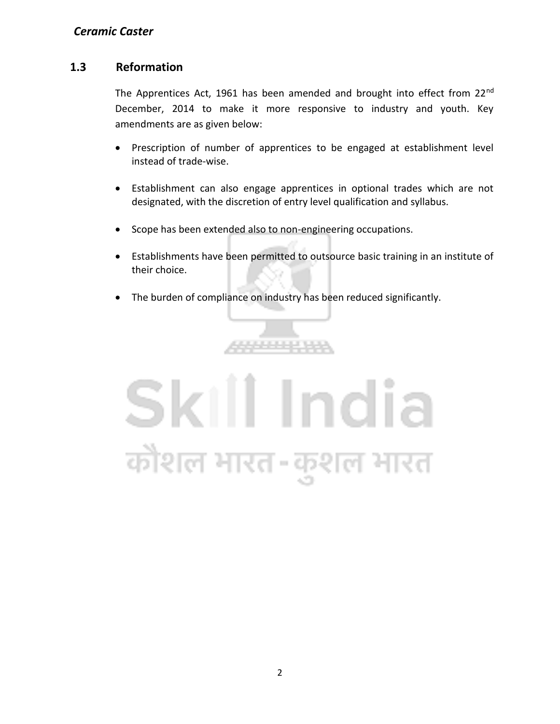#### **1.3 Reformation**

The Apprentices Act, 1961 has been amended and brought into effect from 22<sup>nd</sup> December, 2014 to make it more responsive to industry and youth. Key amendments are as given below:

- Prescription of number of apprentices to be engaged at establishment level instead of trade-wise.
- Establishment can also engage apprentices in optional trades which are not designated, with the discretion of entry level qualification and syllabus.
- Scope has been extended also to non-engineering occupations.
- Establishments have been permitted to outsource basic training in an institute of their choice.
- The burden of compliance on industry has been reduced significantly.

,,,,,,,,,,,,

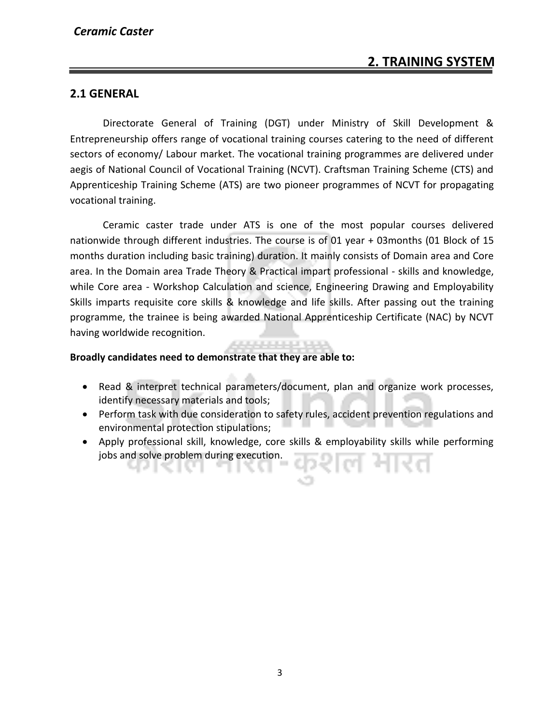### **2. TRAINING SYSTEM**

#### **2.1 GENERAL**

Directorate General of Training (DGT) under Ministry of Skill Development & Entrepreneurship offers range of vocational training courses catering to the need of different sectors of economy/ Labour market. The vocational training programmes are delivered under aegis of National Council of Vocational Training (NCVT). Craftsman Training Scheme (CTS) and Apprenticeship Training Scheme (ATS) are two pioneer programmes of NCVT for propagating vocational training.

Ceramic caster trade under ATS is one of the most popular courses delivered nationwide through different industries. The course is of 01 year + 03months (01 Block of 15 months duration including basic training) duration. It mainly consists of Domain area and Core area. In the Domain area Trade Theory & Practical impart professional - skills and knowledge, while Core area - Workshop Calculation and science, Engineering Drawing and Employability Skills imparts requisite core skills & knowledge and life skills. After passing out the training programme, the trainee is being awarded National Apprenticeship Certificate (NAC) by NCVT having worldwide recognition.

#### **Broadly candidates need to demonstrate that they are able to:**

• Read & interpret technical parameters/document, plan and organize work processes, identify necessary materials and tools;

فيتنزلني فتنزع والماردان

- Perform task with due consideration to safety rules, accident prevention regulations and environmental protection stipulations;
- Apply professional skill, knowledge, core skills & employability skills while performing jobs and solve problem during execution.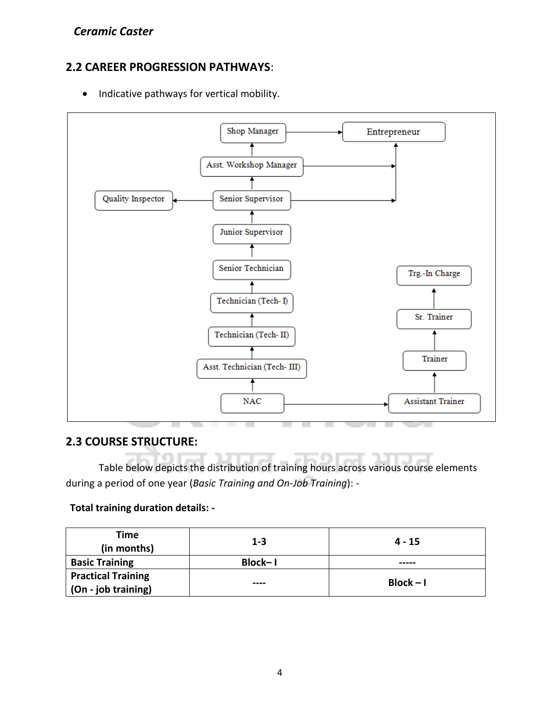#### **2.2 CAREER PROGRESSION PATHWAYS**:

• Indicative pathways for vertical mobility.



#### **2.3 COURSE STRUCTURE:**

Table below depicts the distribution of training hours across various course elements during a period of one year (*Basic Training and On-Job Training*): -

#### **Total training duration details: -**

| Time<br>(in months)                              | $1 - 3$ | $4 - 15$    |
|--------------------------------------------------|---------|-------------|
| <b>Basic Training</b>                            | Block-I | -----       |
| <b>Practical Training</b><br>(On - job training) | ----    | $Block - I$ |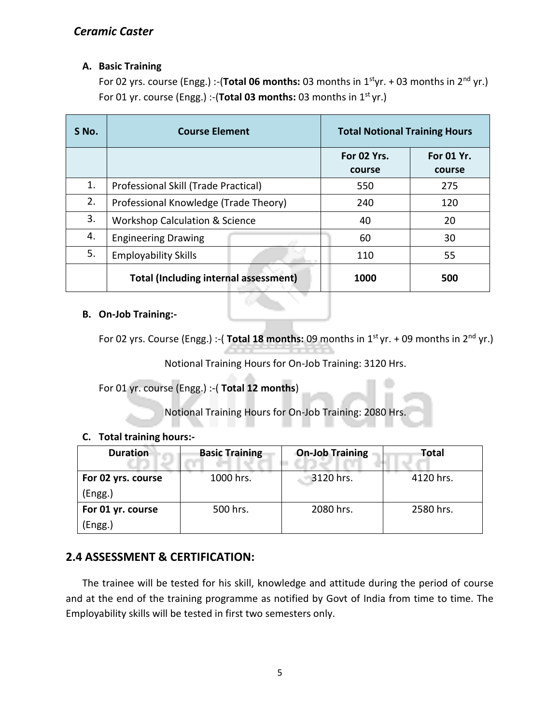#### **A. Basic Training**

For 02 yrs. course (Engg.) :-(**Total 06 months:** 03 months in 1<sup>st</sup>yr. + 03 months in 2<sup>nd</sup> yr.) For 01 yr. course (Engg.) :-(Total 03 months: 03 months in 1<sup>st</sup> yr.)

| S No. | <b>Course Element</b>                        | <b>Total Notional Training Hours</b> |                      |
|-------|----------------------------------------------|--------------------------------------|----------------------|
|       |                                              | For 02 Yrs.<br>course                | For 01 Yr.<br>course |
| 1.    | Professional Skill (Trade Practical)         | 550                                  | 275                  |
| 2.    | Professional Knowledge (Trade Theory)        | 240                                  | 120                  |
| 3.    | <b>Workshop Calculation &amp; Science</b>    | 40                                   | 20                   |
| 4.    | <b>Engineering Drawing</b>                   | 60                                   | 30                   |
| 5.    | <b>Employability Skills</b>                  | 110                                  | 55                   |
|       | <b>Total (Including internal assessment)</b> | 1000                                 | 500                  |

#### **B. On-Job Training:-**

For 02 yrs. Course (Engg.) :- (**Total 18 months:** 09 months in 1<sup>st</sup> yr. + 09 months in 2<sup>nd</sup> yr.)

Notional Training Hours for On-Job Training: 3120 Hrs.

For 01 yr. course (Engg.) :-( **Total 12 months**)

Notional Training Hours for On-Job Training: 2080 Hrs.

#### **C. Total training hours:-**

| <b>Duration</b>    | <b>Basic Training</b> | <b>On-Job Training</b> | Total     |
|--------------------|-----------------------|------------------------|-----------|
| For 02 yrs. course | 1000 hrs.             | 3120 hrs.              | 4120 hrs. |
| (Engg.)            |                       |                        |           |
| For 01 yr. course  | 500 hrs.              | 2080 hrs.              | 2580 hrs. |
| (Engg.)            |                       |                        |           |

#### **2.4 ASSESSMENT & CERTIFICATION:**

The trainee will be tested for his skill, knowledge and attitude during the period of course and at the end of the training programme as notified by Govt of India from time to time. The Employability skills will be tested in first two semesters only.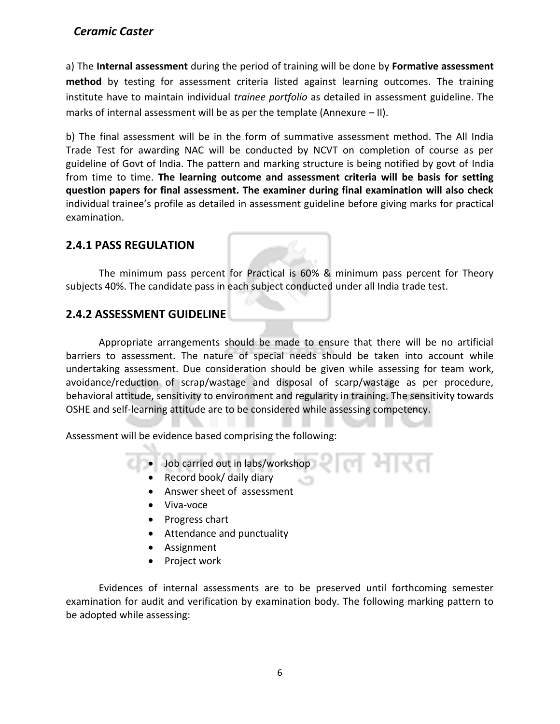a) The **Internal assessment** during the period of training will be done by **Formative assessment method** by testing for assessment criteria listed against learning outcomes. The training institute have to maintain individual *trainee portfolio* as detailed in assessment guideline. The marks of internal assessment will be as per the template (Annexure – II).

b) The final assessment will be in the form of summative assessment method. The All India Trade Test for awarding NAC will be conducted by NCVT on completion of course as per guideline of Govt of India. The pattern and marking structure is being notified by govt of India from time to time. **The learning outcome and assessment criteria will be basis for setting question papers for final assessment. The examiner during final examination will also check**  individual trainee's profile as detailed in assessment guideline before giving marks for practical examination.

#### **2.4.1 PASS REGULATION**

The minimum pass percent for Practical is 60% & minimum pass percent for Theory subjects 40%. The candidate pass in each subject conducted under all India trade test.

#### **2.4.2 ASSESSMENT GUIDELINE**

Appropriate arrangements should be made to ensure that there will be no artificial barriers to assessment. The nature of special needs should be taken into account while undertaking assessment. Due consideration should be given while assessing for team work, avoidance/reduction of scrap/wastage and disposal of scarp/wastage as per procedure, behavioral attitude, sensitivity to environment and regularity in training. The sensitivity towards OSHE and self-learning attitude are to be considered while assessing competency.

Assessment will be evidence based comprising the following:

- Job carried out in labs/workshop
	- Record book/ daily diary
	- Answer sheet of assessment
	- Viva-voce
	- Progress chart
	- Attendance and punctuality
	- Assignment
	- Project work

Evidences of internal assessments are to be preserved until forthcoming semester examination for audit and verification by examination body. The following marking pattern to be adopted while assessing: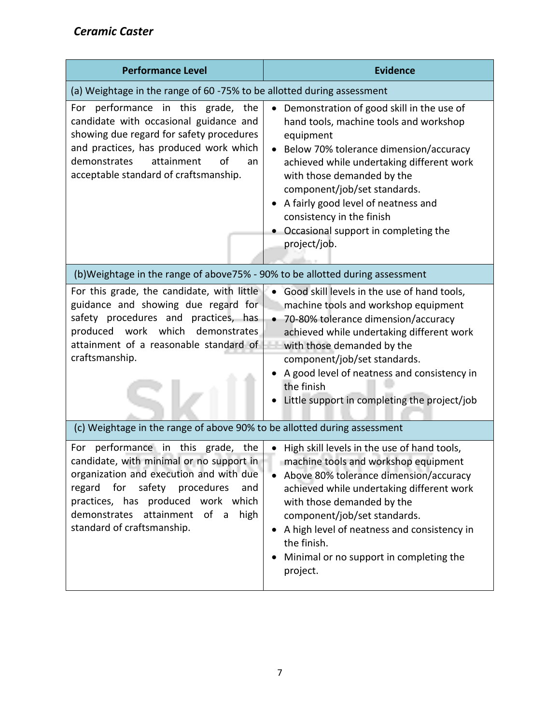| <b>Performance Level</b>                                                                                                                                                                                                                                                                                 | <b>Evidence</b>                                                                                                                                                                                                                                                                                                                                                                     |  |  |
|----------------------------------------------------------------------------------------------------------------------------------------------------------------------------------------------------------------------------------------------------------------------------------------------------------|-------------------------------------------------------------------------------------------------------------------------------------------------------------------------------------------------------------------------------------------------------------------------------------------------------------------------------------------------------------------------------------|--|--|
| (a) Weightage in the range of 60 -75% to be allotted during assessment                                                                                                                                                                                                                                   |                                                                                                                                                                                                                                                                                                                                                                                     |  |  |
| For performance in this grade, the<br>candidate with occasional guidance and<br>showing due regard for safety procedures<br>and practices, has produced work which<br>demonstrates<br>attainment<br>of<br>an<br>acceptable standard of craftsmanship.                                                    | • Demonstration of good skill in the use of<br>hand tools, machine tools and workshop<br>equipment<br>Below 70% tolerance dimension/accuracy<br>achieved while undertaking different work<br>with those demanded by the<br>component/job/set standards.<br>A fairly good level of neatness and<br>consistency in the finish<br>Occasional support in completing the<br>project/job. |  |  |
| (b)Weightage in the range of above75% - 90% to be allotted during assessment                                                                                                                                                                                                                             |                                                                                                                                                                                                                                                                                                                                                                                     |  |  |
| For this grade, the candidate, with little<br>guidance and showing due regard for<br>safety procedures and practices, has<br>produced work which<br>demonstrates<br>attainment of a reasonable standard of<br>craftsmanship.<br>(c) Weightage in the range of above 90% to be allotted during assessment | Good skill levels in the use of hand tools,<br>machine tools and workshop equipment<br>70-80% tolerance dimension/accuracy<br>achieved while undertaking different work<br>with those demanded by the<br>component/job/set standards.<br>A good level of neatness and consistency in<br>the finish<br>Little support in completing the project/job                                  |  |  |
| performance in this grade, the<br>For<br>candidate, with minimal or no support in<br>organization and execution and with due<br>regard for<br>safety procedures<br>and<br>practices, has produced work which<br>demonstrates attainment of a<br>high<br>standard of craftsmanship.                       | High skill levels in the use of hand tools,<br>machine tools and workshop equipment<br>Above 80% tolerance dimension/accuracy<br>achieved while undertaking different work<br>with those demanded by the<br>component/job/set standards.<br>A high level of neatness and consistency in<br>the finish.<br>Minimal or no support in completing the<br>project.                       |  |  |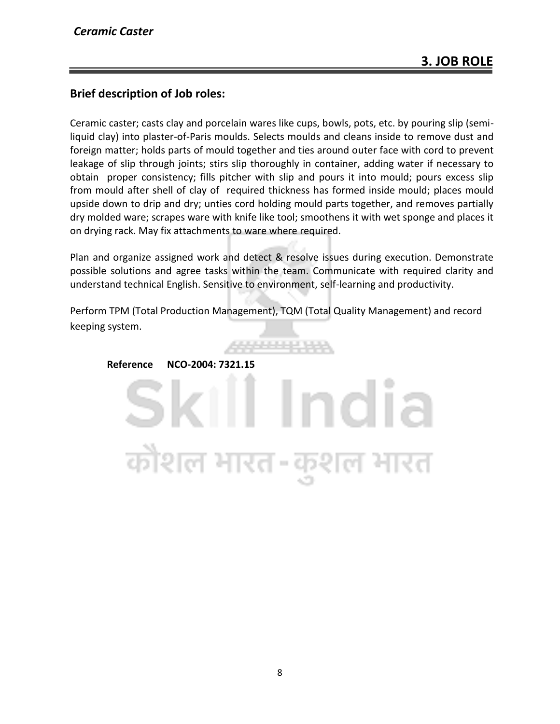#### **Brief description of Job roles:**

Ceramic caster; casts clay and porcelain wares like cups, bowls, pots, etc. by pouring slip (semiliquid clay) into plaster-of-Paris moulds. Selects moulds and cleans inside to remove dust and foreign matter; holds parts of mould together and ties around outer face with cord to prevent leakage of slip through joints; stirs slip thoroughly in container, adding water if necessary to obtain proper consistency; fills pitcher with slip and pours it into mould; pours excess slip from mould after shell of clay of required thickness has formed inside mould; places mould upside down to drip and dry; unties cord holding mould parts together, and removes partially dry molded ware; scrapes ware with knife like tool; smoothens it with wet sponge and places it on drying rack. May fix attachments to ware where required.

Plan and organize assigned work and detect & resolve issues during execution. Demonstrate possible solutions and agree tasks within the team. Communicate with required clarity and understand technical English. Sensitive to environment, self-learning and productivity.

Perform TPM (Total Production Management), TQM (Total Quality Management) and record keeping system.

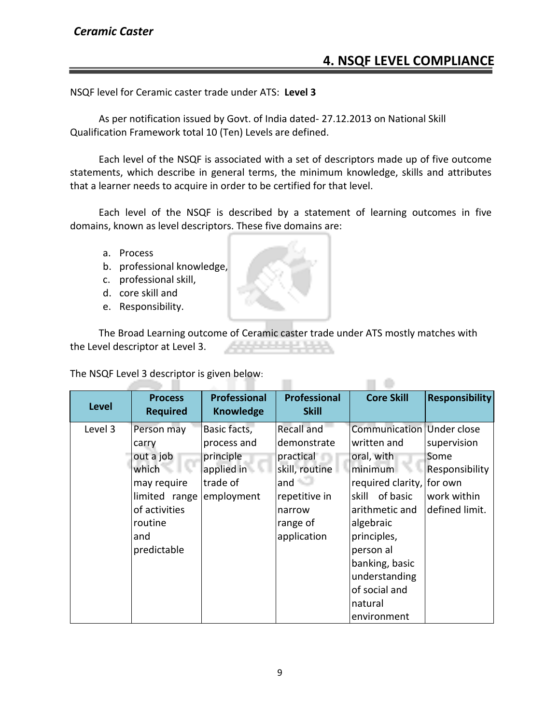### **4. NSQF LEVEL COMPLIANCE**

 $\Box$   $\Diamond$ 

NSQF level for Ceramic caster trade under ATS: **Level 3**

As per notification issued by Govt. of India dated- 27.12.2013 on National Skill Qualification Framework total 10 (Ten) Levels are defined.

Each level of the NSQF is associated with a set of descriptors made up of five outcome statements, which describe in general terms, the minimum knowledge, skills and attributes that a learner needs to acquire in order to be certified for that level.

Each level of the NSQF is described by a statement of learning outcomes in five domains, known as level descriptors. These five domains are:

- a. Process
- b. professional knowledge,
- c. professional skill,
- d. core skill and
- e. Responsibility.

The Broad Learning outcome of Ceramic caster trade under ATS mostly matches with the Level descriptor at Level 3.

The NSQF Level 3 descriptor is given below:

| <b>Level</b> | <b>Process</b><br><b>Required</b>                                                                                           | <b>Professional</b><br><b>Knowledge</b>                                          | <b>Professional</b><br><b>Skill</b>                                                                                                         | <b>Core Skill</b>                                                                                                                                                                                                                                    | <b>Responsibility</b>                                                             |
|--------------|-----------------------------------------------------------------------------------------------------------------------------|----------------------------------------------------------------------------------|---------------------------------------------------------------------------------------------------------------------------------------------|------------------------------------------------------------------------------------------------------------------------------------------------------------------------------------------------------------------------------------------------------|-----------------------------------------------------------------------------------|
| Level 3      | Person may<br>carry<br>out a job<br>which<br>may require<br>limited range<br>of activities<br>routine<br>and<br>predictable | Basic facts,<br>process and<br>principle<br>applied in<br>trade of<br>employment | <b>Recall and</b><br>demonstrate<br>practical<br>skill, routine<br>and $\blacksquare$<br>repetitive in<br>narrow<br>range of<br>application | Communication Under close<br>written and<br>oral, with<br>minimum<br>required clarity,<br>of basic<br>skill<br>arithmetic and<br>algebraic<br>principles,<br>person al<br>banking, basic<br>understanding<br>of social and<br>natural<br>environment | supervision<br>Some<br>Responsibility<br>for own<br>work within<br>defined limit. |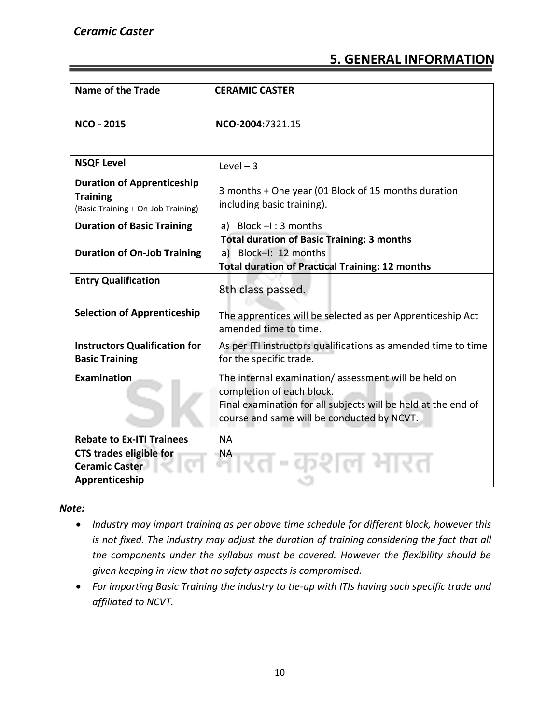## **5. GENERAL INFORMATION**

| Name of the Trade                                                                          | <b>CERAMIC CASTER</b>                                                                                                                                                                           |  |
|--------------------------------------------------------------------------------------------|-------------------------------------------------------------------------------------------------------------------------------------------------------------------------------------------------|--|
| <b>NCO - 2015</b>                                                                          | NCO-2004:7321.15                                                                                                                                                                                |  |
| <b>NSQF Level</b>                                                                          | Level $-3$                                                                                                                                                                                      |  |
| <b>Duration of Apprenticeship</b><br><b>Training</b><br>(Basic Training + On-Job Training) | 3 months + One year (01 Block of 15 months duration<br>including basic training).                                                                                                               |  |
| <b>Duration of Basic Training</b>                                                          | a) Block $-I$ : 3 months<br><b>Total duration of Basic Training: 3 months</b>                                                                                                                   |  |
| <b>Duration of On-Job Training</b>                                                         | a) Block-I: 12 months<br><b>Total duration of Practical Training: 12 months</b>                                                                                                                 |  |
| <b>Entry Qualification</b>                                                                 | 8th class passed.                                                                                                                                                                               |  |
| <b>Selection of Apprenticeship</b>                                                         | The apprentices will be selected as per Apprenticeship Act<br>amended time to time.                                                                                                             |  |
| <b>Instructors Qualification for</b><br><b>Basic Training</b>                              | As per ITI instructors qualifications as amended time to time<br>for the specific trade.                                                                                                        |  |
| Examination                                                                                | The internal examination/assessment will be held on<br>completion of each block.<br>Final examination for all subjects will be held at the end of<br>course and same will be conducted by NCVT. |  |
| <b>Rebate to Ex-ITI Trainees</b>                                                           | <b>NA</b>                                                                                                                                                                                       |  |
| <b>CTS trades eligible for</b><br><b>Ceramic Caster</b><br>Apprenticeship                  | ΝA                                                                                                                                                                                              |  |

#### *Note:*

- *Industry may impart training as per above time schedule for different block, however this is not fixed. The industry may adjust the duration of training considering the fact that all the components under the syllabus must be covered. However the flexibility should be given keeping in view that no safety aspects is compromised.*
- *For imparting Basic Training the industry to tie-up with ITIs having such specific trade and affiliated to NCVT.*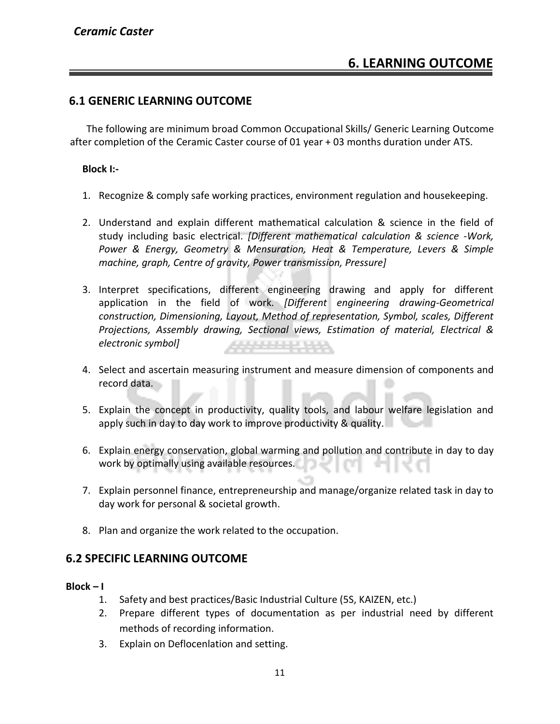#### **6.1 GENERIC LEARNING OUTCOME**

The following are minimum broad Common Occupational Skills/ Generic Learning Outcome after completion of the Ceramic Caster course of 01 year + 03 months duration under ATS.

#### **Block I:-**

- 1. Recognize & comply safe working practices, environment regulation and housekeeping.
- 2. Understand and explain different mathematical calculation & science in the field of study including basic electrical. *[Different mathematical calculation & science -Work, Power & Energy, Geometry & Mensuration, Heat & Temperature, Levers & Simple machine, graph, Centre of gravity, Power transmission, Pressure]*
- 3. Interpret specifications, different engineering drawing and apply for different application in the field of work. *[Different engineering drawing-Geometrical construction, Dimensioning, Layout, Method of representation, Symbol, scales, Different Projections, Assembly drawing, Sectional views, Estimation of material, Electrical & electronic symbol]* 4444444444
- 4. Select and ascertain measuring instrument and measure dimension of components and record data.
- 5. Explain the concept in productivity, quality tools, and labour welfare legislation and apply such in day to day work to improve productivity & quality.
- 6. Explain energy conservation, global warming and pollution and contribute in day to day work by optimally using available resources.
- 7. Explain personnel finance, entrepreneurship and manage/organize related task in day to day work for personal & societal growth.
- 8. Plan and organize the work related to the occupation.

#### **6.2 SPECIFIC LEARNING OUTCOME**

#### $Block - I$

- 1. Safety and best practices/Basic Industrial Culture (5S, KAIZEN, etc.)
- 2. Prepare different types of documentation as per industrial need by different methods of recording information.
- 3. Explain on Deflocenlation and setting.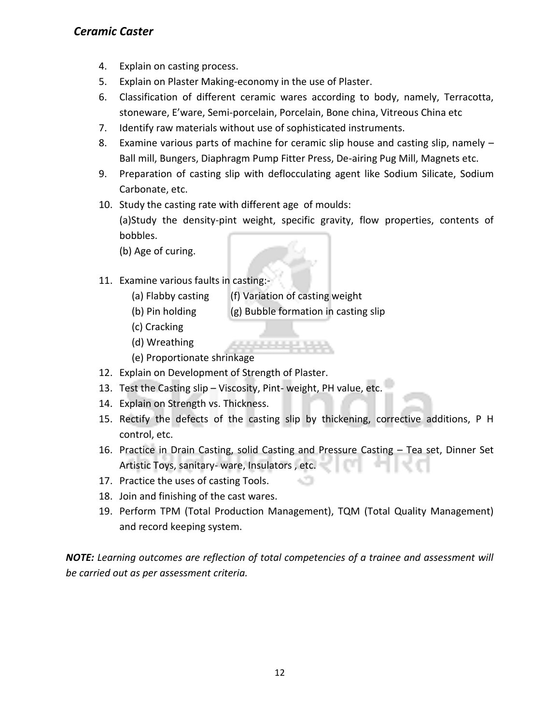- 4. Explain on casting process.
- 5. Explain on Plaster Making-economy in the use of Plaster.
- 6. Classification of different ceramic wares according to body, namely, Terracotta, stoneware, E'ware, Semi-porcelain, Porcelain, Bone china, Vitreous China etc
- 7. Identify raw materials without use of sophisticated instruments.
- 8. Examine various parts of machine for ceramic slip house and casting slip, namely Ball mill, Bungers, Diaphragm Pump Fitter Press, De-airing Pug Mill, Magnets etc.
- 9. Preparation of casting slip with deflocculating agent like Sodium Silicate, Sodium Carbonate, etc.
- 10. Study the casting rate with different age of moulds: (a)Study the density-pint weight, specific gravity, flow properties, contents of bobbles.

(b) Age of curing.

- 11. Examine various faults in casting:-
	- (a) Flabby casting (f) Variation of casting weight
	- (b) Pin holding  $(g)$  Bubble formation in casting slip

- (c) Cracking
- (d) Wreathing
- (e) Proportionate shrinkage
- 12. Explain on Development of Strength of Plaster.
- 13. Test the Casting slip Viscosity, Pint- weight, PH value, etc.
- 14. Explain on Strength vs. Thickness.
- 15. Rectify the defects of the casting slip by thickening, corrective additions, P H control, etc.
- 16. Practice in Drain Casting, solid Casting and Pressure Casting Tea set, Dinner Set Artistic Toys, sanitary- ware, Insulators , etc.
- 17. Practice the uses of casting Tools.
- 18. Join and finishing of the cast wares.
- 19. Perform TPM (Total Production Management), TQM (Total Quality Management) and record keeping system.

*NOTE: Learning outcomes are reflection of total competencies of a trainee and assessment will be carried out as per assessment criteria.*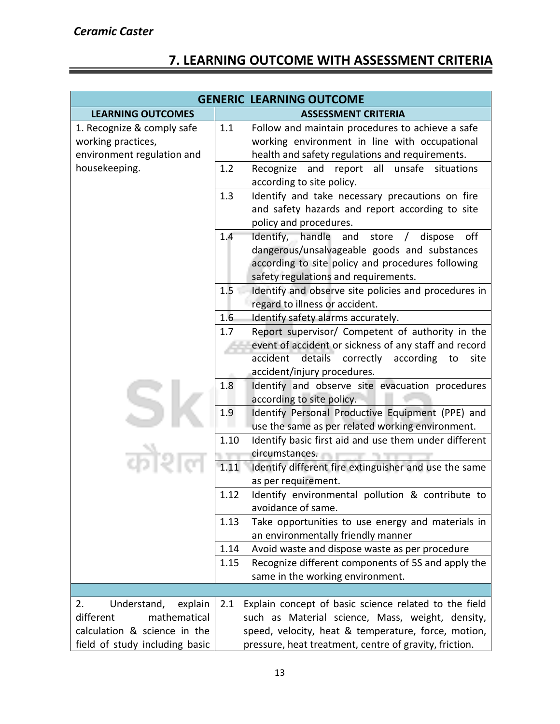## **7. LEARNING OUTCOME WITH ASSESSMENT CRITERIA**

|                                                                                | <b>GENERIC LEARNING OUTCOME</b>                                                                                                                                                                                    |
|--------------------------------------------------------------------------------|--------------------------------------------------------------------------------------------------------------------------------------------------------------------------------------------------------------------|
| <b>LEARNING OUTCOMES</b>                                                       | <b>ASSESSMENT CRITERIA</b>                                                                                                                                                                                         |
| 1. Recognize & comply safe<br>working practices,<br>environment regulation and | 1.1<br>Follow and maintain procedures to achieve a safe<br>working environment in line with occupational<br>health and safety regulations and requirements.                                                        |
| housekeeping.                                                                  | 1.2<br>and<br>all<br>unsafe<br>Recognize<br>report<br>situations<br>according to site policy.                                                                                                                      |
|                                                                                | 1.3<br>Identify and take necessary precautions on fire<br>and safety hazards and report according to site<br>policy and procedures.                                                                                |
|                                                                                | handle and<br>1.4<br>Identify,<br>off<br>store<br>dispose<br>$\prime$<br>dangerous/unsalvageable goods and substances<br>according to site policy and procedures following<br>safety regulations and requirements. |
|                                                                                | Identify and observe site policies and procedures in<br>$1.5 -$<br>regard to illness or accident.                                                                                                                  |
|                                                                                | 1.6<br>Identify safety alarms accurately.                                                                                                                                                                          |
|                                                                                | 1.7<br>Report supervisor/ Competent of authority in the<br>event of accident or sickness of any staff and record<br>accident details correctly according<br>to<br>site<br>accident/injury procedures.              |
|                                                                                | Identify and observe site evacuation procedures<br>1.8<br>according to site policy.<br>1.9<br>Identify Personal Productive Equipment (PPE) and                                                                     |
|                                                                                | use the same as per related working environment.                                                                                                                                                                   |
|                                                                                | 1.10<br>Identify basic first aid and use them under different<br>circumstances.                                                                                                                                    |
|                                                                                | 1.11<br>Identify different fire extinguisher and use the same<br>as per requirement.                                                                                                                               |
|                                                                                | 1.12<br>Identify environmental pollution & contribute to<br>avoidance of same.                                                                                                                                     |
|                                                                                | 1.13<br>Take opportunities to use energy and materials in<br>an environmentally friendly manner                                                                                                                    |
|                                                                                | 1.14<br>Avoid waste and dispose waste as per procedure                                                                                                                                                             |
|                                                                                | 1.15<br>Recognize different components of 5S and apply the<br>same in the working environment.                                                                                                                     |
|                                                                                |                                                                                                                                                                                                                    |
| Understand,<br>2.<br>explain                                                   | Explain concept of basic science related to the field<br>2.1                                                                                                                                                       |
| different<br>mathematical                                                      | such as Material science, Mass, weight, density,                                                                                                                                                                   |
| calculation & science in the<br>field of study including basic                 | speed, velocity, heat & temperature, force, motion,<br>pressure, heat treatment, centre of gravity, friction.                                                                                                      |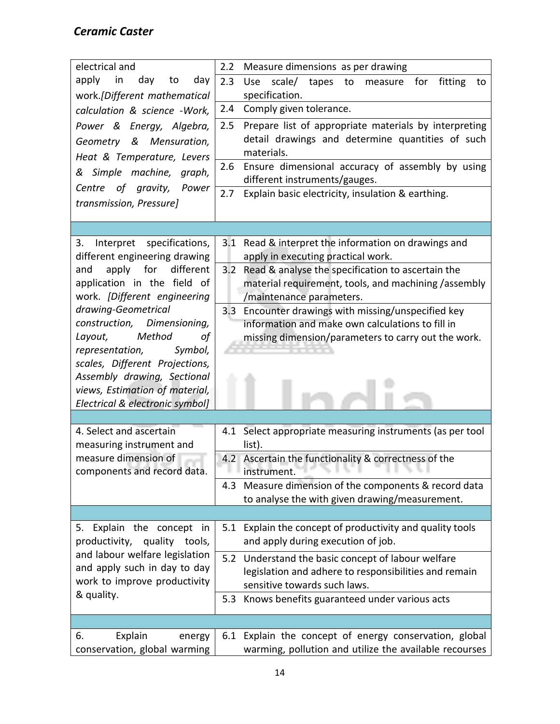| electrical and                                                   | 2.2<br>Measure dimensions as per drawing                                                   |
|------------------------------------------------------------------|--------------------------------------------------------------------------------------------|
| apply<br>in<br>day<br>to<br>day                                  | 2.3<br>scale/<br>Use<br>tapes<br>to<br>for<br>fitting<br>measure<br>to                     |
| work.[Different mathematical                                     | specification.                                                                             |
| calculation & science -Work,                                     | Comply given tolerance.<br>2.4                                                             |
| Power & Energy, Algebra,                                         | 2.5<br>Prepare list of appropriate materials by interpreting                               |
| & Mensuration,<br>Geometry                                       | detail drawings and determine quantities of such                                           |
| Heat & Temperature, Levers                                       | materials.                                                                                 |
| & Simple machine, graph,                                         | 2.6<br>Ensure dimensional accuracy of assembly by using                                    |
| Centre of gravity, Power                                         | different instruments/gauges.<br>2.7<br>Explain basic electricity, insulation & earthing.  |
| transmission, Pressure]                                          |                                                                                            |
|                                                                  |                                                                                            |
|                                                                  |                                                                                            |
| Interpret specifications,<br>3.<br>different engineering drawing | 3.1 Read & interpret the information on drawings and<br>apply in executing practical work. |
| different<br>and<br>apply<br>for                                 | 3.2 Read & analyse the specification to ascertain the                                      |
| application in the field of                                      | material requirement, tools, and machining /assembly                                       |
| work. [Different engineering                                     | /maintenance parameters.                                                                   |
| drawing-Geometrical                                              | 3.3<br>Encounter drawings with missing/unspecified key                                     |
| construction,<br>Dimensioning,<br>Method<br>Layout,<br>οf        | information and make own calculations to fill in                                           |
| representation,<br>Symbol,                                       | missing dimension/parameters to carry out the work.                                        |
| scales, Different Projections,                                   |                                                                                            |
| Assembly drawing, Sectional                                      |                                                                                            |
| views, Estimation of material,                                   |                                                                                            |
| Electrical & electronic symbol]                                  |                                                                                            |
| 4. Select and ascertain                                          |                                                                                            |
| measuring instrument and                                         | 4.1 Select appropriate measuring instruments (as per tool<br>list).                        |
| measure dimension of                                             | 4.2 Ascertain the functionality & correctness of the                                       |
| components and record data.                                      | instrument.                                                                                |
|                                                                  | Measure dimension of the components & record data<br>4.3                                   |
|                                                                  | to analyse the with given drawing/measurement.                                             |
|                                                                  |                                                                                            |
| 5. Explain the concept in                                        | 5.1 Explain the concept of productivity and quality tools                                  |
| productivity, quality tools,<br>and labour welfare legislation   | and apply during execution of job.                                                         |
| and apply such in day to day                                     | 5.2 Understand the basic concept of labour welfare                                         |
| work to improve productivity                                     | legislation and adhere to responsibilities and remain<br>sensitive towards such laws.      |
| & quality.                                                       | Knows benefits guaranteed under various acts<br>5.3                                        |
|                                                                  |                                                                                            |
|                                                                  |                                                                                            |
| Explain<br>6.<br>energy                                          | 6.1 Explain the concept of energy conservation, global                                     |
| conservation, global warming                                     | warming, pollution and utilize the available recourses                                     |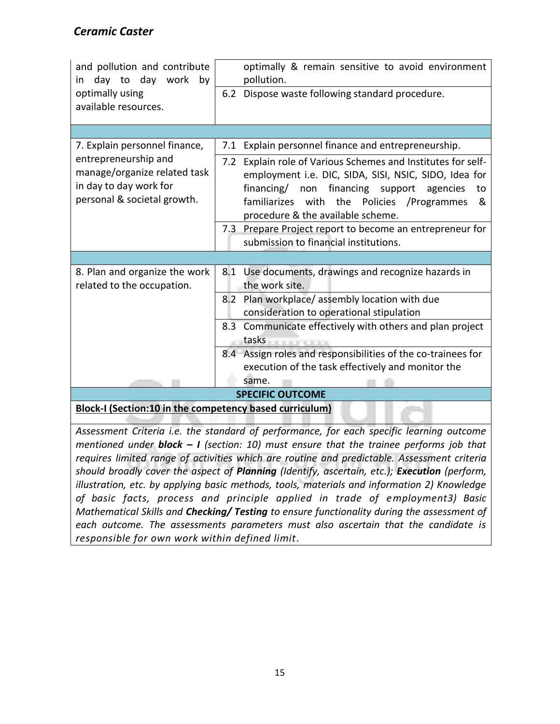| and pollution and contribute<br>day to day work<br>by<br>in<br>optimally using<br>available resources.        | optimally & remain sensitive to avoid environment<br>pollution.<br>Dispose waste following standard procedure.<br>6.2                                                                                                                                                                                                                    |  |  |
|---------------------------------------------------------------------------------------------------------------|------------------------------------------------------------------------------------------------------------------------------------------------------------------------------------------------------------------------------------------------------------------------------------------------------------------------------------------|--|--|
|                                                                                                               |                                                                                                                                                                                                                                                                                                                                          |  |  |
| 7. Explain personnel finance,                                                                                 | Explain personnel finance and entrepreneurship.<br>7.1                                                                                                                                                                                                                                                                                   |  |  |
| entrepreneurship and<br>manage/organize related task<br>in day to day work for<br>personal & societal growth. | Explain role of Various Schemes and Institutes for self-<br>7.2<br>employment i.e. DIC, SIDA, SISI, NSIC, SIDO, Idea for<br>financing/ non financing support agencies<br>to<br>familiarizes<br>Policies /Programmes<br>the<br>with<br>&<br>procedure & the available scheme.<br>7.3 Prepare Project report to become an entrepreneur for |  |  |
|                                                                                                               | submission to financial institutions.                                                                                                                                                                                                                                                                                                    |  |  |
|                                                                                                               |                                                                                                                                                                                                                                                                                                                                          |  |  |
| 8. Plan and organize the work<br>related to the occupation.                                                   | 8.1 Use documents, drawings and recognize hazards in<br>the work site.                                                                                                                                                                                                                                                                   |  |  |
|                                                                                                               | Plan workplace/assembly location with due<br>8.2<br>consideration to operational stipulation                                                                                                                                                                                                                                             |  |  |
|                                                                                                               | Communicate effectively with others and plan project<br>8.3<br>tasks <b>the community of the community</b>                                                                                                                                                                                                                               |  |  |
|                                                                                                               | 8.4 Assign roles and responsibilities of the co-trainees for                                                                                                                                                                                                                                                                             |  |  |
|                                                                                                               | execution of the task effectively and monitor the<br>same.                                                                                                                                                                                                                                                                               |  |  |
| <b>SPECIFIC OUTCOME</b>                                                                                       |                                                                                                                                                                                                                                                                                                                                          |  |  |
|                                                                                                               | <b>Block-I (Section:10 in the competency based curriculum)</b>                                                                                                                                                                                                                                                                           |  |  |

*Assessment Criteria i.e. the standard of performance, for each specific learning outcome mentioned under block – I (section: 10) must ensure that the trainee performs job that requires limited range of activities which are routine and predictable. Assessment criteria should broadly cover the aspect of Planning (Identify, ascertain, etc.); Execution (perform, illustration, etc. by applying basic methods, tools, materials and information 2) Knowledge of basic facts, process and principle applied in trade of employment3) Basic Mathematical Skills and Checking/ Testing to ensure functionality during the assessment of each outcome. The assessments parameters must also ascertain that the candidate is responsible for own work within defined limit.*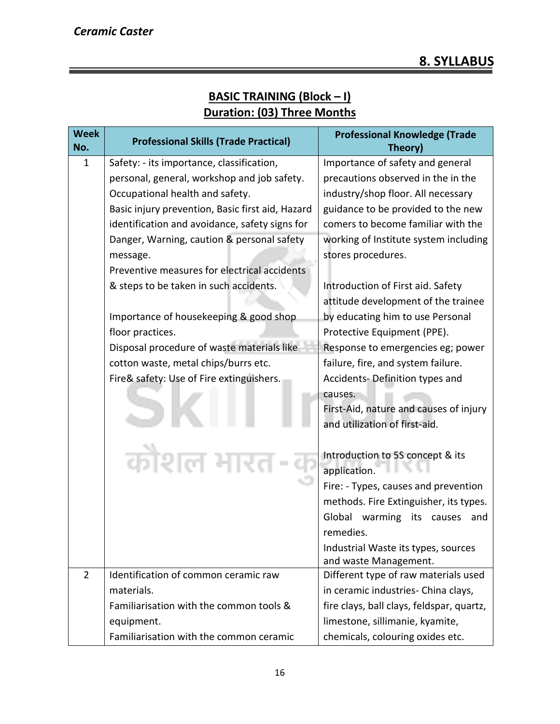### **BASIC TRAINING (Block – I) Duration: (03) Three Months**

| <b>Week</b><br>No. | <b>Professional Skills (Trade Practical)</b>     | <b>Professional Knowledge (Trade</b><br>Theory) |
|--------------------|--------------------------------------------------|-------------------------------------------------|
| $\mathbf{1}$       | Safety: - its importance, classification,        | Importance of safety and general                |
|                    | personal, general, workshop and job safety.      | precautions observed in the in the              |
|                    | Occupational health and safety.                  | industry/shop floor. All necessary              |
|                    | Basic injury prevention, Basic first aid, Hazard | guidance to be provided to the new              |
|                    | identification and avoidance, safety signs for   | comers to become familiar with the              |
|                    | Danger, Warning, caution & personal safety       | working of Institute system including           |
|                    | message.                                         | stores procedures.                              |
|                    | Preventive measures for electrical accidents     |                                                 |
|                    | & steps to be taken in such accidents.           | Introduction of First aid. Safety               |
|                    |                                                  | attitude development of the trainee             |
|                    | Importance of housekeeping & good shop           | by educating him to use Personal                |
|                    | floor practices.                                 | Protective Equipment (PPE).                     |
|                    | Disposal procedure of waste materials like       | Response to emergencies eg; power               |
|                    | cotton waste, metal chips/burrs etc.             | failure, fire, and system failure.              |
|                    | Fire& safety: Use of Fire extinguishers.         | Accidents-Definition types and                  |
|                    |                                                  | causes.                                         |
|                    |                                                  | First-Aid, nature and causes of injury          |
|                    |                                                  | and utilization of first-aid.                   |
|                    |                                                  |                                                 |
|                    | कोशल भार                                         | Introduction to 5S concept & its                |
|                    |                                                  | application.                                    |
|                    |                                                  | Fire: - Types, causes and prevention            |
|                    |                                                  | methods. Fire Extinguisher, its types.          |
|                    |                                                  | Global<br>warming<br>its<br>causes<br>and       |
|                    |                                                  | remedies.                                       |
|                    |                                                  | Industrial Waste its types, sources             |
|                    |                                                  | and waste Management.                           |
| $\overline{2}$     | Identification of common ceramic raw             | Different type of raw materials used            |
|                    | materials.                                       | in ceramic industries- China clays,             |
|                    | Familiarisation with the common tools &          | fire clays, ball clays, feldspar, quartz,       |
|                    | equipment.                                       | limestone, sillimanie, kyamite,                 |
|                    | Familiarisation with the common ceramic          | chemicals, colouring oxides etc.                |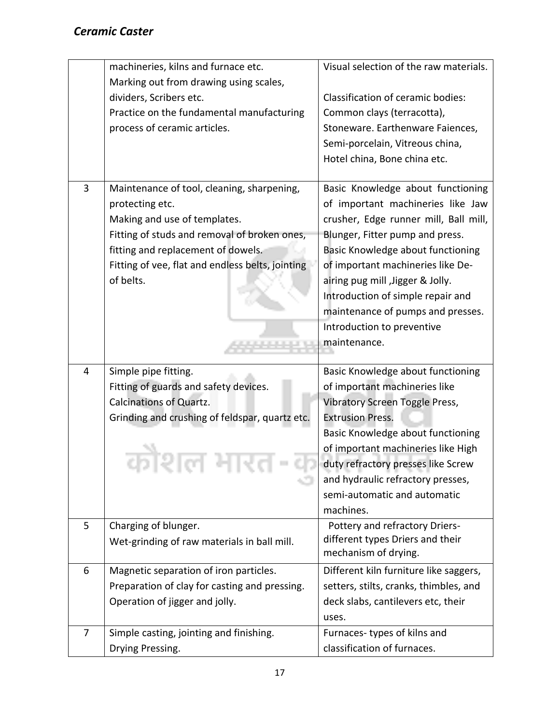|                | machineries, kilns and furnace etc.                         | Visual selection of the raw materials.                     |
|----------------|-------------------------------------------------------------|------------------------------------------------------------|
|                | Marking out from drawing using scales,                      |                                                            |
|                | dividers, Scribers etc.                                     | Classification of ceramic bodies:                          |
|                | Practice on the fundamental manufacturing                   | Common clays (terracotta),                                 |
|                | process of ceramic articles.                                | Stoneware. Earthenware Faiences,                           |
|                |                                                             | Semi-porcelain, Vitreous china,                            |
|                |                                                             | Hotel china, Bone china etc.                               |
|                |                                                             |                                                            |
| 3              | Maintenance of tool, cleaning, sharpening,                  | Basic Knowledge about functioning                          |
|                | protecting etc.                                             | of important machineries like Jaw                          |
|                | Making and use of templates.                                | crusher, Edge runner mill, Ball mill,                      |
|                | Fitting of studs and removal of broken ones,                | Blunger, Fitter pump and press.                            |
|                | fitting and replacement of dowels.                          | Basic Knowledge about functioning                          |
|                | Fitting of vee, flat and endless belts, jointing            | of important machineries like De-                          |
|                | of belts.                                                   | airing pug mill , Jigger & Jolly.                          |
|                |                                                             | Introduction of simple repair and                          |
|                |                                                             | maintenance of pumps and presses.                          |
|                |                                                             | Introduction to preventive                                 |
|                |                                                             | maintenance.                                               |
|                |                                                             |                                                            |
|                |                                                             |                                                            |
| 4              | Simple pipe fitting.                                        | Basic Knowledge about functioning                          |
|                | Fitting of guards and safety devices.                       | of important machineries like                              |
|                | <b>Calcinations of Quartz.</b>                              | Vibratory Screen Toggle Press,                             |
|                | Grinding and crushing of feldspar, quartz etc.              | <b>Extrusion Press.</b>                                    |
|                |                                                             | Basic Knowledge about functioning                          |
|                |                                                             | of important machineries like High                         |
|                | 1911 N.H.V.                                                 | duty refractory presses like Screw                         |
|                |                                                             | and hydraulic refractory presses,                          |
|                |                                                             | semi-automatic and automatic                               |
|                |                                                             | machines.                                                  |
| 5              | Charging of blunger.                                        | Pottery and refractory Driers-                             |
|                | Wet-grinding of raw materials in ball mill.                 | different types Driers and their                           |
|                |                                                             | mechanism of drying.                                       |
| 6              | Magnetic separation of iron particles.                      | Different kiln furniture like saggers,                     |
|                | Preparation of clay for casting and pressing.               | setters, stilts, cranks, thimbles, and                     |
|                | Operation of jigger and jolly.                              | deck slabs, cantilevers etc, their                         |
|                |                                                             | uses.                                                      |
| $\overline{7}$ | Simple casting, jointing and finishing.<br>Drying Pressing. | Furnaces-types of kilns and<br>classification of furnaces. |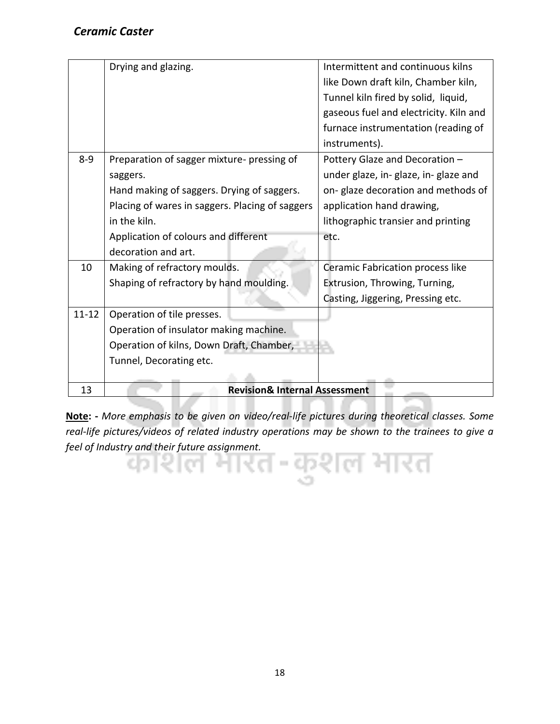|           | Drying and glazing.                             | Intermittent and continuous kilns      |
|-----------|-------------------------------------------------|----------------------------------------|
|           |                                                 | like Down draft kiln, Chamber kiln,    |
|           |                                                 | Tunnel kiln fired by solid, liquid,    |
|           |                                                 | gaseous fuel and electricity. Kiln and |
|           |                                                 | furnace instrumentation (reading of    |
|           |                                                 | instruments).                          |
| $8 - 9$   | Preparation of sagger mixture- pressing of      | Pottery Glaze and Decoration -         |
|           | saggers.                                        | under glaze, in- glaze, in- glaze and  |
|           | Hand making of saggers. Drying of saggers.      | on-glaze decoration and methods of     |
|           | Placing of wares in saggers. Placing of saggers | application hand drawing,              |
|           | in the kiln.                                    | lithographic transier and printing     |
|           | Application of colours and different            | etc.                                   |
|           | decoration and art.                             |                                        |
| 10        | Making of refractory moulds.                    | Ceramic Fabrication process like       |
|           | Shaping of refractory by hand moulding.         | Extrusion, Throwing, Turning,          |
|           |                                                 | Casting, Jiggering, Pressing etc.      |
| $11 - 12$ | Operation of tile presses.                      |                                        |
|           | Operation of insulator making machine.          |                                        |
|           | Operation of kilns, Down Draft, Chamber,        |                                        |
|           | Tunnel, Decorating etc.                         |                                        |
|           |                                                 |                                        |
| 13        | <b>Revision&amp; Internal Assessment</b>        |                                        |

**Note: -** *More emphasis to be given on video/real-life pictures during theoretical classes. Some real-life pictures/videos of related industry operations may be shown to the trainees to give a feel of Industry and their future assignment.*

शिल भारत-कशल भारत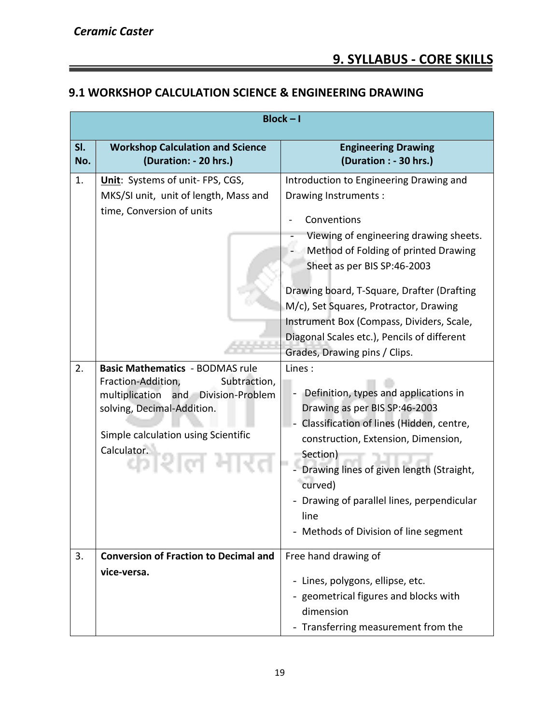=

#### **9.1 WORKSHOP CALCULATION SCIENCE & ENGINEERING DRAWING**

|            | $Block - I$                                                                                                                                                   |                                                                                                                                                                                                                                                                                                                                                                                                                                |  |  |
|------------|---------------------------------------------------------------------------------------------------------------------------------------------------------------|--------------------------------------------------------------------------------------------------------------------------------------------------------------------------------------------------------------------------------------------------------------------------------------------------------------------------------------------------------------------------------------------------------------------------------|--|--|
| SI.<br>No. | <b>Workshop Calculation and Science</b><br>(Duration: - 20 hrs.)                                                                                              | <b>Engineering Drawing</b><br>(Duration : - 30 hrs.)                                                                                                                                                                                                                                                                                                                                                                           |  |  |
| 1.<br>2.   | Unit: Systems of unit-FPS, CGS,<br>MKS/SI unit, unit of length, Mass and<br>time, Conversion of units<br><b>Basic Mathematics - BODMAS rule</b>               | Introduction to Engineering Drawing and<br>Drawing Instruments:<br>Conventions<br>Viewing of engineering drawing sheets.<br>Method of Folding of printed Drawing<br>Sheet as per BIS SP:46-2003<br>Drawing board, T-Square, Drafter (Drafting<br>M/c), Set Squares, Protractor, Drawing<br>Instrument Box (Compass, Dividers, Scale,<br>Diagonal Scales etc.), Pencils of different<br>Grades, Drawing pins / Clips.<br>Lines: |  |  |
|            | Fraction-Addition,<br>Subtraction,<br>multiplication and Division-Problem<br>solving, Decimal-Addition.<br>Simple calculation using Scientific<br>Calculator. | Definition, types and applications in<br>Drawing as per BIS SP:46-2003<br>Classification of lines (Hidden, centre,<br>construction, Extension, Dimension,<br>Section)<br>Drawing lines of given length (Straight,<br>curved)<br>Drawing of parallel lines, perpendicular<br>line<br>- Methods of Division of line segment                                                                                                      |  |  |
| 3.         | <b>Conversion of Fraction to Decimal and</b><br>vice-versa.                                                                                                   | Free hand drawing of<br>- Lines, polygons, ellipse, etc.<br>- geometrical figures and blocks with<br>dimension<br>- Transferring measurement from the                                                                                                                                                                                                                                                                          |  |  |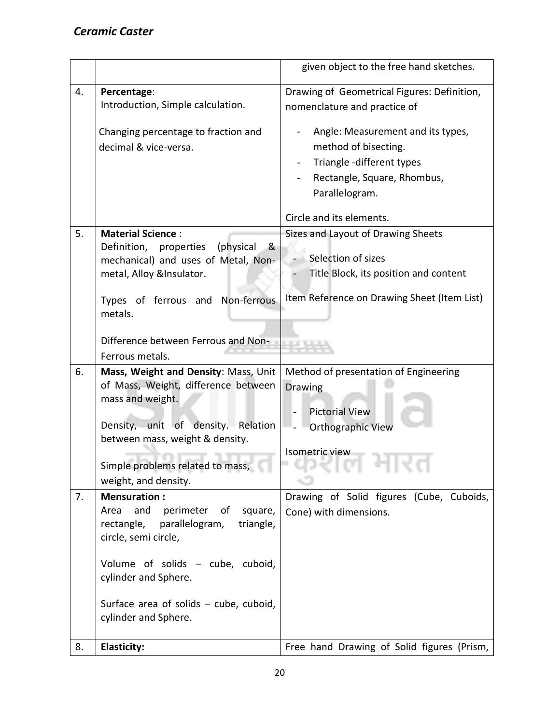|    |                                                                                                                                                                                                                                                                     | given object to the free hand sketches.                                                                                                                                                                                                           |
|----|---------------------------------------------------------------------------------------------------------------------------------------------------------------------------------------------------------------------------------------------------------------------|---------------------------------------------------------------------------------------------------------------------------------------------------------------------------------------------------------------------------------------------------|
| 4. | Percentage:<br>Introduction, Simple calculation.<br>Changing percentage to fraction and<br>decimal & vice-versa.                                                                                                                                                    | Drawing of Geometrical Figures: Definition,<br>nomenclature and practice of<br>Angle: Measurement and its types,<br>method of bisecting.<br>Triangle-different types<br>Rectangle, Square, Rhombus,<br>Parallelogram.<br>Circle and its elements. |
| 5. | <b>Material Science:</b><br>(physical<br>Definition,<br>properties<br><u>&amp;</u><br>mechanical) and uses of Metal, Non-<br>metal, Alloy & Insulator.<br>Types of ferrous and Non-ferrous<br>metals.<br>Difference between Ferrous and Non-<br>Ferrous metals.     | Sizes and Layout of Drawing Sheets<br>Selection of sizes<br>Title Block, its position and content<br>Item Reference on Drawing Sheet (Item List)                                                                                                  |
| 6. | Mass, Weight and Density: Mass, Unit<br>of Mass, Weight, difference between<br>mass and weight.<br>Density, unit of density. Relation<br>between mass, weight & density.<br>Simple problems related to mass,<br>weight, and density.                                | Method of presentation of Engineering<br>Drawing<br><b>Pictorial View</b><br>Orthographic View<br>Isometric view<br><b>Contract</b>                                                                                                               |
| 7. | <b>Mensuration:</b><br>and<br>perimeter<br>Area<br>of<br>square,<br>parallelogram,<br>rectangle,<br>triangle,<br>circle, semi circle,<br>Volume of solids - cube, cuboid,<br>cylinder and Sphere.<br>Surface area of solids - cube, cuboid,<br>cylinder and Sphere. | Drawing of Solid figures (Cube, Cuboids,<br>Cone) with dimensions.                                                                                                                                                                                |
| 8. | <b>Elasticity:</b>                                                                                                                                                                                                                                                  | Free hand Drawing of Solid figures (Prism,                                                                                                                                                                                                        |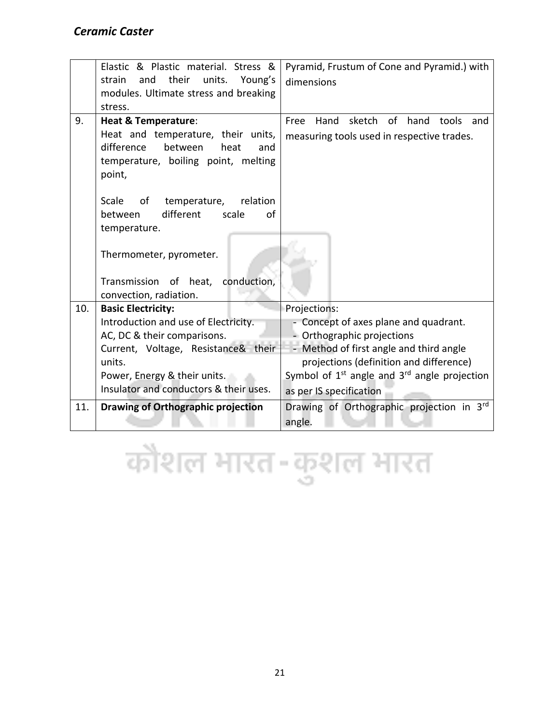|     | Elastic & Plastic material. Stress &          | Pyramid, Frustum of Cone and Pyramid.) with                                                       |  |
|-----|-----------------------------------------------|---------------------------------------------------------------------------------------------------|--|
|     | their<br>strain<br>units.<br>and<br>Young's   | dimensions                                                                                        |  |
|     | modules. Ultimate stress and breaking         |                                                                                                   |  |
|     | stress.                                       |                                                                                                   |  |
| 9.  | <b>Heat &amp; Temperature:</b>                | Free Hand sketch of hand tools and                                                                |  |
|     | Heat and temperature, their units,            | measuring tools used in respective trades.                                                        |  |
|     | between<br>difference<br>heat<br>and          |                                                                                                   |  |
|     | temperature, boiling point, melting           |                                                                                                   |  |
|     | point,                                        |                                                                                                   |  |
|     |                                               |                                                                                                   |  |
|     | Scale<br>of<br>temperature,<br>relation       |                                                                                                   |  |
|     | different<br>scale<br>between<br>οf           |                                                                                                   |  |
|     | temperature.                                  |                                                                                                   |  |
|     |                                               |                                                                                                   |  |
|     | Thermometer, pyrometer.                       |                                                                                                   |  |
|     |                                               |                                                                                                   |  |
|     | Transmission of heat, conduction,             |                                                                                                   |  |
|     | convection, radiation.                        |                                                                                                   |  |
| 10. | <b>Basic Electricity:</b>                     | Projections:                                                                                      |  |
|     | Introduction and use of Electricity.          | - Concept of axes plane and quadrant.                                                             |  |
|     | AC, DC & their comparisons.                   | - Orthographic projections<br>- Method of first angle and third angle                             |  |
|     | Current, Voltage, Resistance& their<br>units. |                                                                                                   |  |
|     | Power, Energy & their units.                  | projections (definition and difference)<br>Symbol of $1^{st}$ angle and $3^{rd}$ angle projection |  |
|     | Insulator and conductors & their uses.        |                                                                                                   |  |
|     |                                               | as per IS specification                                                                           |  |
| 11. | Drawing of Orthographic projection            | Drawing of Orthographic projection in 3rd                                                         |  |
|     |                                               | angle.                                                                                            |  |

## कौशल भारत-कुशल भारत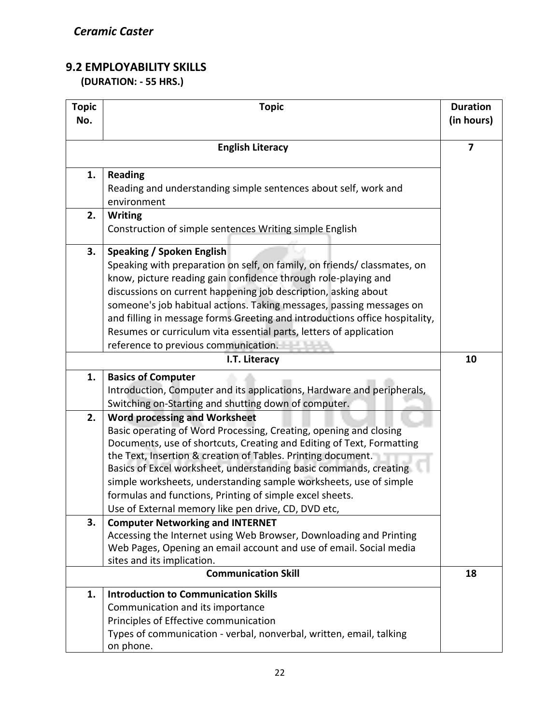#### **9.2 EMPLOYABILITY SKILLS**

 **(DURATION: - 55 HRS.)**

| <b>Topic</b><br>No.     | <b>Topic</b>                                                                                                                                                                                                                                                                                                                                                                                                                                                                                                                                                                                                                                                                                                                                                                                    | <b>Duration</b><br>(in hours) |  |
|-------------------------|-------------------------------------------------------------------------------------------------------------------------------------------------------------------------------------------------------------------------------------------------------------------------------------------------------------------------------------------------------------------------------------------------------------------------------------------------------------------------------------------------------------------------------------------------------------------------------------------------------------------------------------------------------------------------------------------------------------------------------------------------------------------------------------------------|-------------------------------|--|
| <b>English Literacy</b> |                                                                                                                                                                                                                                                                                                                                                                                                                                                                                                                                                                                                                                                                                                                                                                                                 | $\overline{7}$                |  |
| 1.                      | <b>Reading</b>                                                                                                                                                                                                                                                                                                                                                                                                                                                                                                                                                                                                                                                                                                                                                                                  |                               |  |
|                         | Reading and understanding simple sentences about self, work and<br>environment                                                                                                                                                                                                                                                                                                                                                                                                                                                                                                                                                                                                                                                                                                                  |                               |  |
| 2.                      | <b>Writing</b>                                                                                                                                                                                                                                                                                                                                                                                                                                                                                                                                                                                                                                                                                                                                                                                  |                               |  |
|                         | Construction of simple sentences Writing simple English                                                                                                                                                                                                                                                                                                                                                                                                                                                                                                                                                                                                                                                                                                                                         |                               |  |
| 3.                      | Speaking / Spoken English<br>Speaking with preparation on self, on family, on friends/ classmates, on<br>know, picture reading gain confidence through role-playing and<br>discussions on current happening job description, asking about<br>someone's job habitual actions. Taking messages, passing messages on<br>and filling in message forms Greeting and introductions office hospitality,<br>Resumes or curriculum vita essential parts, letters of application<br>reference to previous communication.                                                                                                                                                                                                                                                                                  |                               |  |
|                         | I.T. Literacy                                                                                                                                                                                                                                                                                                                                                                                                                                                                                                                                                                                                                                                                                                                                                                                   | 10                            |  |
| 1.<br>2.<br>3.          | <b>Basics of Computer</b><br>Introduction, Computer and its applications, Hardware and peripherals,<br>Switching on-Starting and shutting down of computer.<br><b>Word processing and Worksheet</b><br>Basic operating of Word Processing, Creating, opening and closing<br>Documents, use of shortcuts, Creating and Editing of Text, Formatting<br>the Text, Insertion & creation of Tables. Printing document.<br>Basics of Excel worksheet, understanding basic commands, creating<br>simple worksheets, understanding sample worksheets, use of simple<br>formulas and functions, Printing of simple excel sheets.<br>Use of External memory like pen drive, CD, DVD etc,<br><b>Computer Networking and INTERNET</b><br>Accessing the Internet using Web Browser, Downloading and Printing |                               |  |
|                         | Web Pages, Opening an email account and use of email. Social media<br>sites and its implication.                                                                                                                                                                                                                                                                                                                                                                                                                                                                                                                                                                                                                                                                                                |                               |  |
|                         | <b>Communication Skill</b>                                                                                                                                                                                                                                                                                                                                                                                                                                                                                                                                                                                                                                                                                                                                                                      | 18                            |  |
| 1.                      | <b>Introduction to Communication Skills</b><br>Communication and its importance<br>Principles of Effective communication<br>Types of communication - verbal, nonverbal, written, email, talking<br>on phone.                                                                                                                                                                                                                                                                                                                                                                                                                                                                                                                                                                                    |                               |  |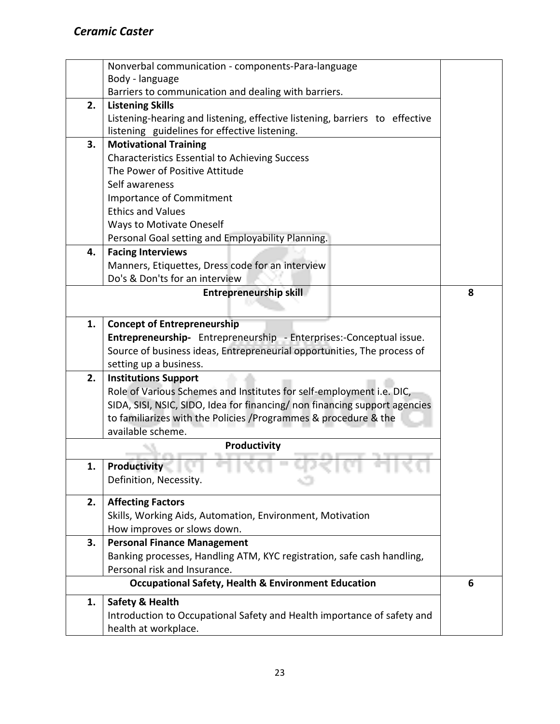|    | Nonverbal communication - components-Para-language                                                                                                 |   |
|----|----------------------------------------------------------------------------------------------------------------------------------------------------|---|
|    | Body - language                                                                                                                                    |   |
|    | Barriers to communication and dealing with barriers.                                                                                               |   |
| 2. | <b>Listening Skills</b>                                                                                                                            |   |
|    | Listening-hearing and listening, effective listening, barriers to effective                                                                        |   |
|    | listening guidelines for effective listening.                                                                                                      |   |
| 3. | <b>Motivational Training</b>                                                                                                                       |   |
|    | <b>Characteristics Essential to Achieving Success</b><br>The Power of Positive Attitude                                                            |   |
|    | Self awareness                                                                                                                                     |   |
|    |                                                                                                                                                    |   |
|    | Importance of Commitment<br><b>Ethics and Values</b>                                                                                               |   |
|    | <b>Ways to Motivate Oneself</b>                                                                                                                    |   |
|    | Personal Goal setting and Employability Planning.                                                                                                  |   |
| 4. | <b>Facing Interviews</b>                                                                                                                           |   |
|    | Manners, Etiquettes, Dress code for an interview                                                                                                   |   |
|    | Do's & Don'ts for an interview                                                                                                                     |   |
|    | <b>Entrepreneurship skill</b>                                                                                                                      | 8 |
|    |                                                                                                                                                    |   |
|    |                                                                                                                                                    |   |
| 1. | <b>Concept of Entrepreneurship</b>                                                                                                                 |   |
|    | Entrepreneurship- Entrepreneurship - Enterprises:-Conceptual issue.                                                                                |   |
|    | Source of business ideas, Entrepreneurial opportunities, The process of                                                                            |   |
| 2. | setting up a business.                                                                                                                             |   |
|    | <b>Institutions Support</b>                                                                                                                        |   |
|    | Role of Various Schemes and Institutes for self-employment i.e. DIC,<br>SIDA, SISI, NSIC, SIDO, Idea for financing/ non financing support agencies |   |
|    | to familiarizes with the Policies / Programmes & procedure & the                                                                                   |   |
|    | available scheme.                                                                                                                                  |   |
|    | Productivity                                                                                                                                       |   |
|    |                                                                                                                                                    |   |
| 1. | <b>Productivity</b>                                                                                                                                |   |
|    | Definition, Necessity.                                                                                                                             |   |
| 2. | <b>Affecting Factors</b>                                                                                                                           |   |
|    | Skills, Working Aids, Automation, Environment, Motivation                                                                                          |   |
|    | How improves or slows down.                                                                                                                        |   |
| 3. | <b>Personal Finance Management</b>                                                                                                                 |   |
|    | Banking processes, Handling ATM, KYC registration, safe cash handling,                                                                             |   |
|    | Personal risk and Insurance.                                                                                                                       |   |
|    | <b>Occupational Safety, Health &amp; Environment Education</b>                                                                                     | 6 |
| 1. | <b>Safety &amp; Health</b>                                                                                                                         |   |
|    | Introduction to Occupational Safety and Health importance of safety and                                                                            |   |
|    | health at workplace.                                                                                                                               |   |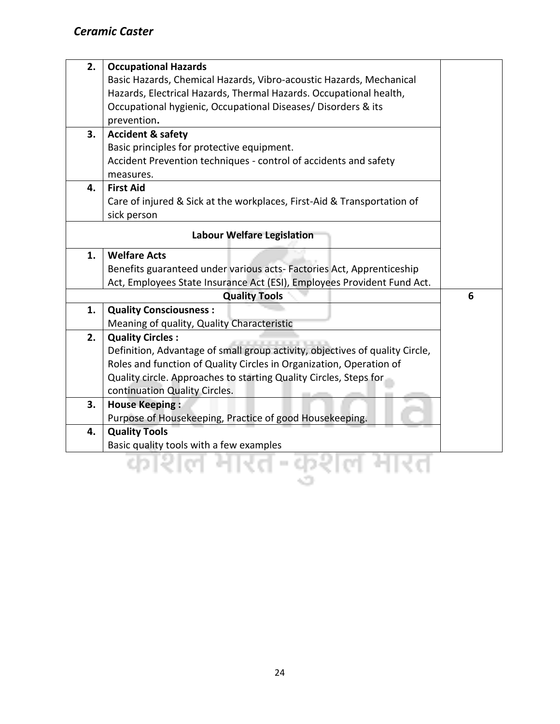| 2.<br>3. | <b>Occupational Hazards</b><br>Basic Hazards, Chemical Hazards, Vibro-acoustic Hazards, Mechanical<br>Hazards, Electrical Hazards, Thermal Hazards. Occupational health,<br>Occupational hygienic, Occupational Diseases/ Disorders & its<br>prevention.<br><b>Accident &amp; safety</b> |   |  |  |
|----------|------------------------------------------------------------------------------------------------------------------------------------------------------------------------------------------------------------------------------------------------------------------------------------------|---|--|--|
|          | Basic principles for protective equipment.<br>Accident Prevention techniques - control of accidents and safety                                                                                                                                                                           |   |  |  |
|          | measures.                                                                                                                                                                                                                                                                                |   |  |  |
| 4.       | <b>First Aid</b>                                                                                                                                                                                                                                                                         |   |  |  |
|          | Care of injured & Sick at the workplaces, First-Aid & Transportation of<br>sick person                                                                                                                                                                                                   |   |  |  |
|          | <b>Labour Welfare Legislation</b>                                                                                                                                                                                                                                                        |   |  |  |
| 1.       | <b>Welfare Acts</b>                                                                                                                                                                                                                                                                      |   |  |  |
|          | Benefits guaranteed under various acts-Factories Act, Apprenticeship<br>Act, Employees State Insurance Act (ESI), Employees Provident Fund Act.                                                                                                                                          |   |  |  |
|          | <b>Quality Tools</b>                                                                                                                                                                                                                                                                     | 6 |  |  |
| 1.       | <b>Quality Consciousness:</b>                                                                                                                                                                                                                                                            |   |  |  |
|          | Meaning of quality, Quality Characteristic                                                                                                                                                                                                                                               |   |  |  |
| 2.       | <b>Quality Circles:</b>                                                                                                                                                                                                                                                                  |   |  |  |
|          | Definition, Advantage of small group activity, objectives of quality Circle,                                                                                                                                                                                                             |   |  |  |
|          | Roles and function of Quality Circles in Organization, Operation of                                                                                                                                                                                                                      |   |  |  |
|          | Quality circle. Approaches to starting Quality Circles, Steps for                                                                                                                                                                                                                        |   |  |  |
| 3.       | continuation Quality Circles.<br><b>House Keeping:</b>                                                                                                                                                                                                                                   |   |  |  |
|          | Purpose of Housekeeping, Practice of good Housekeeping.                                                                                                                                                                                                                                  |   |  |  |
| 4.       | <b>Quality Tools</b>                                                                                                                                                                                                                                                                     |   |  |  |
|          | Basic quality tools with a few examples                                                                                                                                                                                                                                                  |   |  |  |
|          |                                                                                                                                                                                                                                                                                          |   |  |  |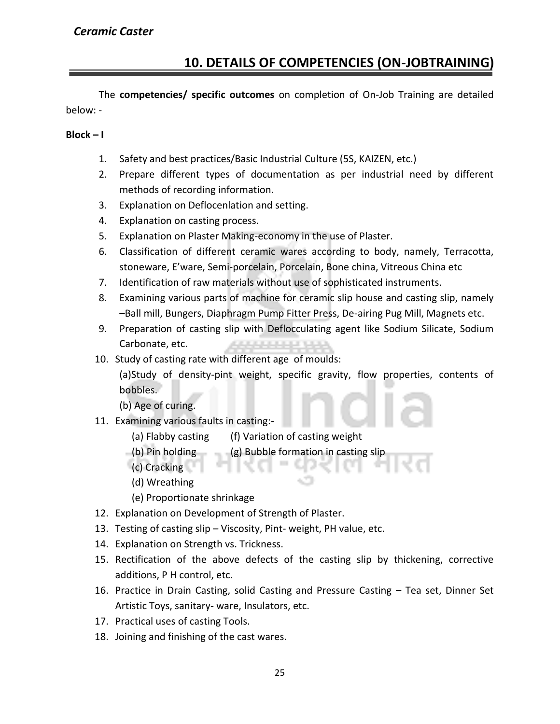## **10. DETAILS OF COMPETENCIES (ON-JOBTRAINING)**

The **competencies/ specific outcomes** on completion of On-Job Training are detailed below: -

#### **Block – I**

- 1. Safety and best practices/Basic Industrial Culture (5S, KAIZEN, etc.)
- 2. Prepare different types of documentation as per industrial need by different methods of recording information.
- 3. Explanation on Deflocenlation and setting.
- 4. Explanation on casting process.
- 5. Explanation on Plaster Making-economy in the use of Plaster.
- 6. Classification of different ceramic wares according to body, namely, Terracotta, stoneware, E'ware, Semi-porcelain, Porcelain, Bone china, Vitreous China etc
- 7. Identification of raw materials without use of sophisticated instruments.
- 8. Examining various parts of machine for ceramic slip house and casting slip, namely –Ball mill, Bungers, Diaphragm Pump Fitter Press, De-airing Pug Mill, Magnets etc.
- 9. Preparation of casting slip with Deflocculating agent like Sodium Silicate, Sodium Carbonate, etc. . . . . . . . . . . . . . .
- 10. Study of casting rate with different age of moulds:

(a)Study of density-pint weight, specific gravity, flow properties, contents of bobbles.

(b) Age of curing.

- 11. Examining various faults in casting:-
	- (a) Flabby casting (f) Variation of casting weight
	- (b) Pin holding (g) Bubble formation in casting slip
	- (c) Cracking
	- (d) Wreathing
	- (e) Proportionate shrinkage
- 12. Explanation on Development of Strength of Plaster.
- 13. Testing of casting slip Viscosity, Pint- weight, PH value, etc.
- 14. Explanation on Strength vs. Trickness.
- 15. Rectification of the above defects of the casting slip by thickening, corrective additions, P H control, etc.
- 16. Practice in Drain Casting, solid Casting and Pressure Casting Tea set, Dinner Set Artistic Toys, sanitary- ware, Insulators, etc.
- 17. Practical uses of casting Tools.
- 18. Joining and finishing of the cast wares.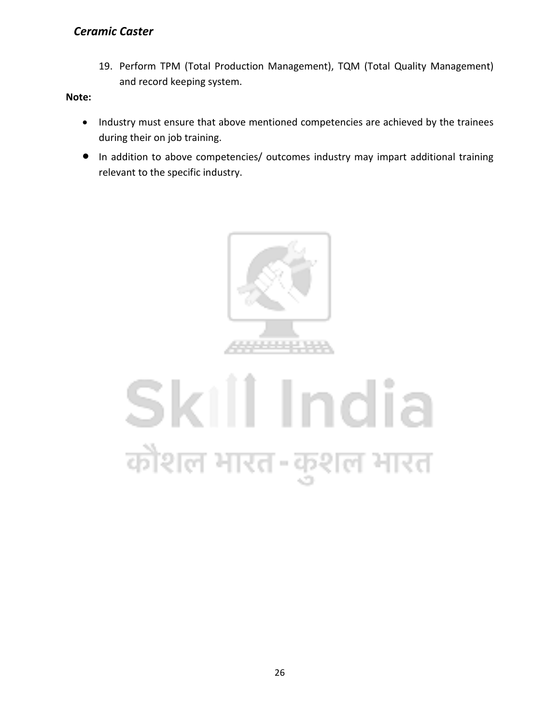19. Perform TPM (Total Production Management), TQM (Total Quality Management) and record keeping system.

**Note:** 

- Industry must ensure that above mentioned competencies are achieved by the trainees during their on job training.
- In addition to above competencies/ outcomes industry may impart additional training relevant to the specific industry.



## Skill India कौशल भारत-कुशल भारत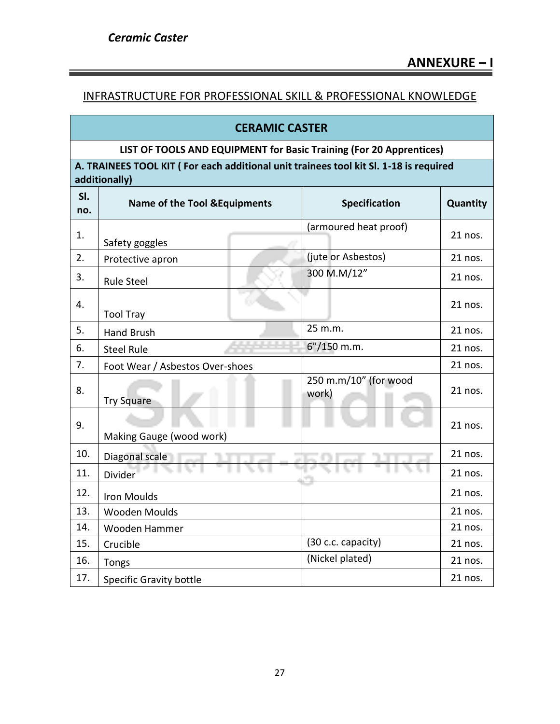#### INFRASTRUCTURE FOR PROFESSIONAL SKILL & PROFESSIONAL KNOWLEDGE

## **CERAMIC CASTER LIST OF TOOLS AND EQUIPMENT for Basic Training (For 20 Apprentices)**

**A. TRAINEES TOOL KIT ( For each additional unit trainees tool kit Sl. 1-18 is required additionally)** 

| SI.<br>no. | <b>Name of the Tool &amp; Equipments</b> | Specification                  | Quantity |
|------------|------------------------------------------|--------------------------------|----------|
| 1.         | Safety goggles                           | (armoured heat proof)          | 21 nos.  |
| 2.         | Protective apron                         | (jute or Asbestos)             | 21 nos.  |
| 3.         | <b>Rule Steel</b>                        | 300 M.M/12"                    | 21 nos.  |
| 4.         | <b>Tool Tray</b>                         |                                | 21 nos.  |
| 5.         | <b>Hand Brush</b>                        | 25 m.m.                        | 21 nos.  |
| 6.         | <b>Steel Rule</b>                        | $6''/150$ m.m.                 | 21 nos.  |
| 7.         | Foot Wear / Asbestos Over-shoes          |                                | 21 nos.  |
| 8.         | <b>Try Square</b>                        | 250 m.m/10" (for wood<br>work) | 21 nos.  |
| 9.         | Making Gauge (wood work)                 |                                | 21 nos.  |
| 10.        | Diagonal scale                           |                                | 21 nos.  |
| 11.        | Divider                                  |                                | 21 nos.  |
| 12.        | <b>Iron Moulds</b>                       |                                | 21 nos.  |
| 13.        | <b>Wooden Moulds</b>                     |                                | 21 nos.  |
| 14.        | Wooden Hammer                            |                                | 21 nos.  |
| 15.        | Crucible                                 | (30 c.c. capacity)             | 21 nos.  |
| 16.        | <b>Tongs</b>                             | (Nickel plated)                | 21 nos.  |
| 17.        | Specific Gravity bottle                  |                                | 21 nos.  |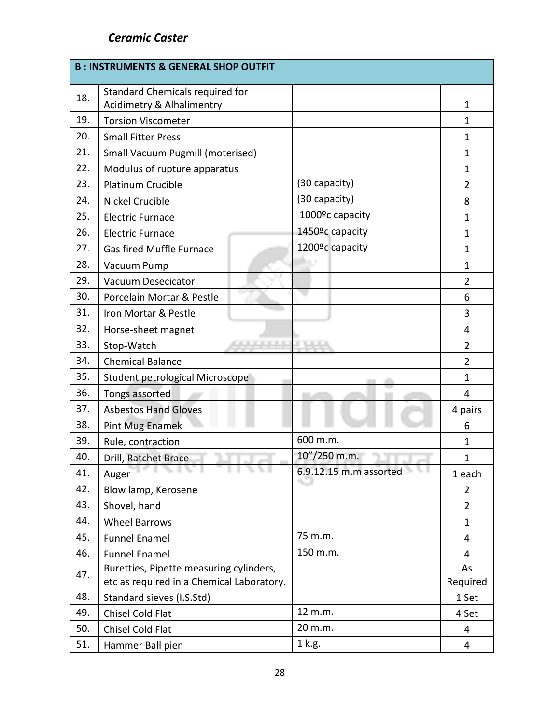|     | <b>B: INSTRUMENTS &amp; GENERAL SHOP OUTFIT</b>      |                              |                |
|-----|------------------------------------------------------|------------------------------|----------------|
| 18. | Standard Chemicals required for                      |                              |                |
|     | <b>Acidimetry &amp; Alhalimentry</b>                 |                              | $\mathbf 1$    |
| 19. | <b>Torsion Viscometer</b>                            |                              | 1              |
| 20. | <b>Small Fitter Press</b>                            |                              | 1              |
| 21. | <b>Small Vacuum Pugmill (moterised)</b>              |                              | 1              |
| 22. | Modulus of rupture apparatus                         |                              | $\mathbf{1}$   |
| 23. | <b>Platinum Crucible</b>                             | (30 capacity)                | $\overline{2}$ |
| 24. | <b>Nickel Crucible</b>                               | (30 capacity)                | 8              |
| 25. | <b>Electric Furnace</b>                              | 1000 <sup>o</sup> c capacity | $\mathbf{1}$   |
| 26. | <b>Electric Furnace</b>                              | 1450 <sup>o</sup> c capacity | $\mathbf{1}$   |
| 27. | <b>Gas fired Muffle Furnace</b>                      | 1200ºc capacity              | $\mathbf{1}$   |
| 28. | Vacuum Pump                                          |                              | $\mathbf{1}$   |
| 29. | <b>Vacuum Desecicator</b>                            |                              | $\overline{2}$ |
| 30. | Porcelain Mortar & Pestle                            |                              | 6              |
| 31. | Iron Mortar & Pestle                                 |                              | 3              |
| 32. | Horse-sheet magnet                                   |                              | 4              |
| 33. | والإنجاز<br>Stop-Watch                               | 不可再再再                        | $\overline{2}$ |
| 34. | <b>Chemical Balance</b>                              |                              | $\overline{2}$ |
| 35. | Student petrological Microscope                      |                              | $\mathbf{1}$   |
| 36. | Tongs assorted                                       |                              | 4              |
| 37. | <b>Asbestos Hand Gloves</b>                          |                              | 4 pairs        |
| 38. | <b>Pint Mug Enamek</b>                               |                              | 6              |
| 39. | Rule, contraction                                    | 600 m.m.                     | $\mathbf{1}$   |
| 40. | Drill, Ratchet Brace                                 | $10''/250$ m.m.              | $\mathbf{1}$   |
| 41. | <b>ALCOHOL: YES</b><br>. .<br>76.<br>The Co<br>Auger | 6.9.12.15 m.m assorted       | 1 each         |
| 42. | Blow lamp, Kerosene                                  |                              | $\overline{2}$ |
| 43. | Shovel, hand                                         |                              | $\overline{2}$ |
| 44. | <b>Wheel Barrows</b>                                 |                              | $\mathbf{1}$   |
| 45. | <b>Funnel Enamel</b>                                 | 75 m.m.                      | 4              |
| 46. | <b>Funnel Enamel</b>                                 | 150 m.m.                     | 4              |
| 47. | Buretties, Pipette measuring cylinders,              |                              | As             |
|     | etc as required in a Chemical Laboratory.            |                              | Required       |
| 48. | Standard sieves (I.S.Std)                            |                              | 1 Set          |
| 49. | Chisel Cold Flat                                     | 12 m.m.                      | 4 Set          |
| 50. | Chisel Cold Flat                                     | 20 m.m.                      | 4              |
| 51. | Hammer Ball pien                                     | 1 k.g.                       | 4              |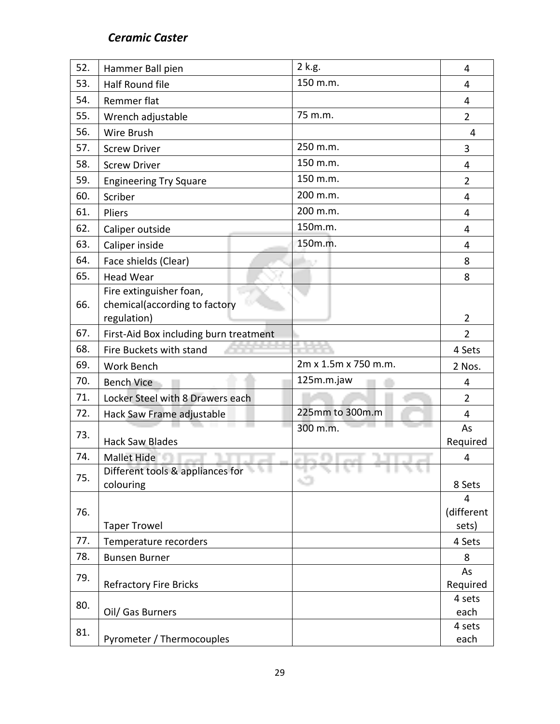| 52. | Hammer Ball pien                                                        | 2 k.g.               | 4                        |
|-----|-------------------------------------------------------------------------|----------------------|--------------------------|
| 53. | <b>Half Round file</b>                                                  | 150 m.m.             | 4                        |
| 54. | Remmer flat                                                             |                      | 4                        |
| 55. | Wrench adjustable                                                       | 75 m.m.              | $\overline{2}$           |
| 56. | Wire Brush                                                              |                      | $\overline{4}$           |
| 57. | <b>Screw Driver</b>                                                     | 250 m.m.             | 3                        |
| 58. | <b>Screw Driver</b>                                                     | 150 m.m.             | 4                        |
| 59. | <b>Engineering Try Square</b>                                           | 150 m.m.             | $\overline{2}$           |
| 60. | Scriber                                                                 | 200 m.m.             | 4                        |
| 61. | Pliers                                                                  | 200 m.m.             | 4                        |
| 62. | Caliper outside                                                         | 150m.m.              | 4                        |
| 63. | Caliper inside                                                          | 150m.m.              | 4                        |
| 64. | Face shields (Clear)                                                    |                      | 8                        |
| 65. | <b>Head Wear</b>                                                        |                      | 8                        |
| 66. | Fire extinguisher foan,<br>chemical(according to factory<br>regulation) |                      | 2                        |
| 67. | First-Aid Box including burn treatment                                  |                      | $\overline{2}$           |
| 68. | Fire Buckets with stand                                                 |                      | 4 Sets                   |
| 69. | <b>Work Bench</b>                                                       | 2m x 1.5m x 750 m.m. | 2 Nos.                   |
| 70. | <b>Bench Vice</b>                                                       | 125m.m.jaw           | 4                        |
| 71. | Locker Steel with 8 Drawers each                                        |                      | $\overline{2}$           |
| 72. | Hack Saw Frame adjustable                                               | 225mm to 300m.m      | 4                        |
| 73. | <b>Hack Saw Blades</b>                                                  | 300 m.m.             | As<br>Required           |
| 74. | Mallet Hide                                                             |                      | 4                        |
| 75. | Different tools & appliances for                                        | ٠O                   |                          |
|     | colouring                                                               |                      | 8 Sets                   |
| 76. | <b>Taper Trowel</b>                                                     |                      | 4<br>(different<br>sets) |
| 77. | Temperature recorders                                                   |                      | 4 Sets                   |
| 78. | <b>Bunsen Burner</b>                                                    |                      | 8                        |
| 79. |                                                                         |                      | As                       |
|     | <b>Refractory Fire Bricks</b>                                           |                      | Required                 |
| 80. |                                                                         |                      | 4 sets                   |
|     | Oil/ Gas Burners                                                        |                      | each<br>4 sets           |
| 81. | Pyrometer / Thermocouples                                               |                      | each                     |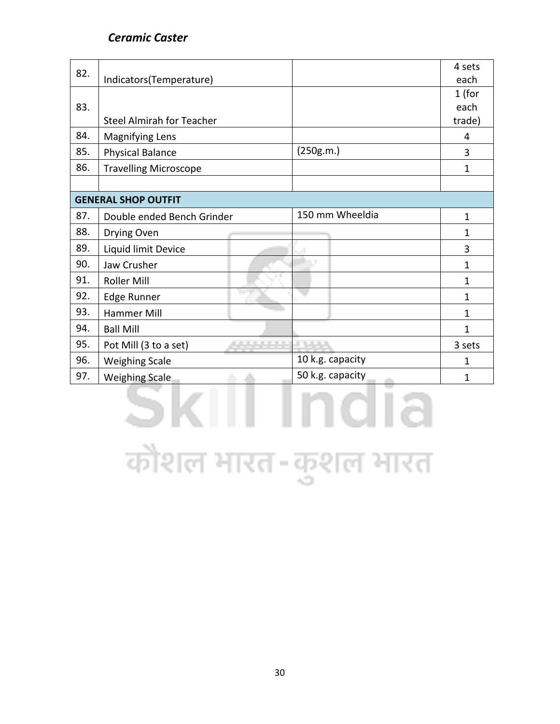| 82. | Indicators(Temperature)                    |                  | 4 sets<br>each             |
|-----|--------------------------------------------|------------------|----------------------------|
| 83. | <b>Steel Almirah for Teacher</b>           |                  | $1$ (for<br>each<br>trade) |
| 84. | <b>Magnifying Lens</b>                     |                  | 4                          |
| 85. | <b>Physical Balance</b>                    | (250g.m.)        | 3                          |
| 86. | <b>Travelling Microscope</b>               |                  | 1                          |
|     |                                            |                  |                            |
|     | <b>GENERAL SHOP OUTFIT</b>                 |                  |                            |
| 87. | Double ended Bench Grinder                 | 150 mm Wheeldia  | 1                          |
| 88. | Drying Oven                                |                  | $\mathbf{1}$               |
| 89. | Liquid limit Device                        |                  | 3                          |
| 90. | Jaw Crusher                                |                  | $\mathbf{1}$               |
| 91. | <b>Roller Mill</b>                         |                  | $\mathbf{1}$               |
| 92. | Edge Runner                                |                  | $\mathbf{1}$               |
| 93. | <b>Hammer Mill</b>                         |                  | 1                          |
| 94. | <b>Ball Mill</b>                           |                  | $\mathbf{1}$               |
| 95. | Pot Mill (3 to a set)<br><b>CONTRACTOR</b> | والمواردة        | 3 sets                     |
| 96. | <b>Weighing Scale</b>                      | 10 k.g. capacity | 1                          |
| 97. | <b>Weighing Scale</b>                      | 50 k.g. capacity | $\mathbf{1}$               |
|     |                                            |                  |                            |

कौशल भारत-कुशल भारत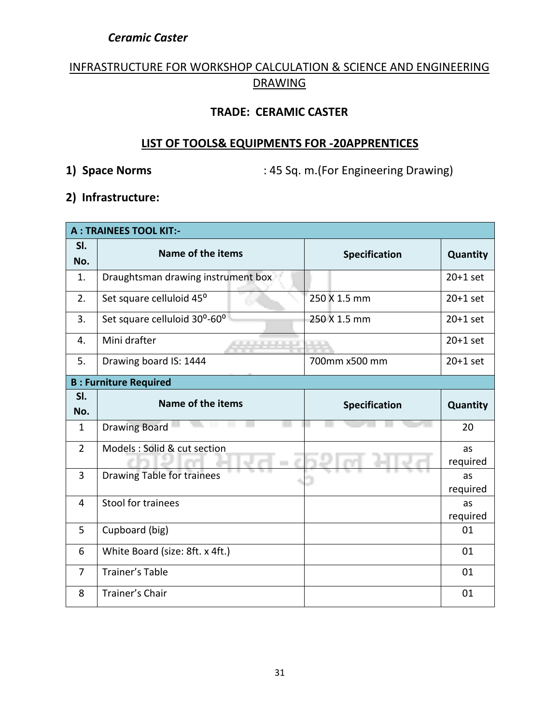### INFRASTRUCTURE FOR WORKSHOP CALCULATION & SCIENCE AND ENGINEERING DRAWING

#### **TRADE: CERAMIC CASTER**

#### **LIST OF TOOLS& EQUIPMENTS FOR -20APPRENTICES**

**1) Space Norms** : 45 Sq. m.(For Engineering Drawing)

#### **2) Infrastructure:**

| <b>A: TRAINEES TOOL KIT:-</b> |                                                             |                      |                |  |  |  |  |  |  |  |  |
|-------------------------------|-------------------------------------------------------------|----------------------|----------------|--|--|--|--|--|--|--|--|
| SI.<br>No.                    | Name of the items                                           | <b>Specification</b> | Quantity       |  |  |  |  |  |  |  |  |
| 1.                            | Draughtsman drawing instrument box                          |                      | $20+1$ set     |  |  |  |  |  |  |  |  |
| 2.                            | Set square celluloid 45°                                    | 250 X 1.5 mm         | $20+1$ set     |  |  |  |  |  |  |  |  |
| 3.                            | Set square celluloid 30°-60°                                | 250 X 1.5 mm         | $20+1$ set     |  |  |  |  |  |  |  |  |
| 4.                            | Mini drafter                                                |                      | $20+1$ set     |  |  |  |  |  |  |  |  |
| 5.                            | Drawing board IS: 1444                                      | 700mm x500 mm        | $20+1$ set     |  |  |  |  |  |  |  |  |
|                               | <b>B: Furniture Required</b>                                |                      |                |  |  |  |  |  |  |  |  |
| SI.<br>No.                    | Name of the items                                           | <b>Specification</b> | Quantity       |  |  |  |  |  |  |  |  |
|                               |                                                             |                      |                |  |  |  |  |  |  |  |  |
| $\mathbf{1}$                  | <b>Drawing Board</b>                                        |                      | 20             |  |  |  |  |  |  |  |  |
| $\overline{2}$                | Models: Solid & cut section<br>$\hat{\mathbf{r}}$<br>اس ہے۔ |                      | as<br>required |  |  |  |  |  |  |  |  |
| 3                             | <b>Drawing Table for trainees</b>                           |                      | as<br>required |  |  |  |  |  |  |  |  |
| 4                             | <b>Stool for trainees</b>                                   |                      | as             |  |  |  |  |  |  |  |  |
| 5                             | Cupboard (big)                                              |                      | required<br>01 |  |  |  |  |  |  |  |  |
| 6                             | White Board (size: 8ft. x 4ft.)                             |                      | 01             |  |  |  |  |  |  |  |  |
| $\overline{7}$                | <b>Trainer's Table</b>                                      |                      | 01             |  |  |  |  |  |  |  |  |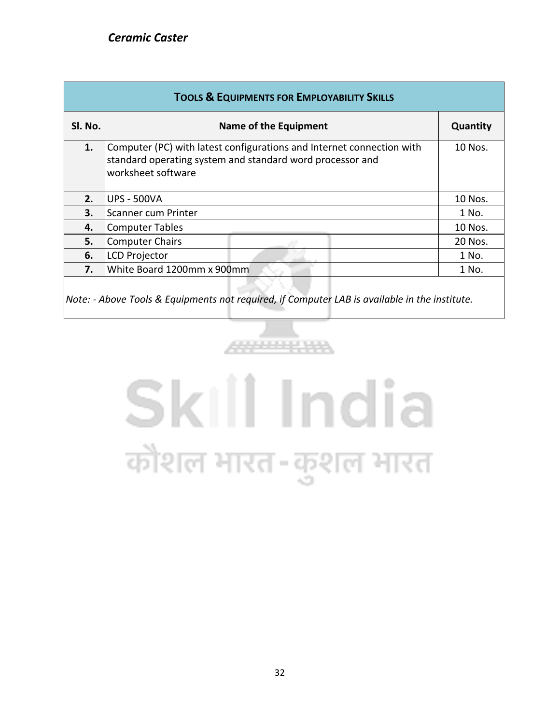| <b>TOOLS &amp; EQUIPMENTS FOR EMPLOYABILITY SKILLS</b> |                                                                                                                                                          |           |  |  |  |  |  |  |
|--------------------------------------------------------|----------------------------------------------------------------------------------------------------------------------------------------------------------|-----------|--|--|--|--|--|--|
| SI. No.                                                | Name of the Equipment                                                                                                                                    | Quantity  |  |  |  |  |  |  |
| 1.                                                     | Computer (PC) with latest configurations and Internet connection with<br>standard operating system and standard word processor and<br>worksheet software | $10$ Nos. |  |  |  |  |  |  |
| 2.                                                     | <b>UPS - 500VA</b>                                                                                                                                       | 10 Nos.   |  |  |  |  |  |  |
| 3.                                                     | Scanner cum Printer                                                                                                                                      | 1 No.     |  |  |  |  |  |  |
| 4.                                                     | Computer Tables                                                                                                                                          | 10 Nos.   |  |  |  |  |  |  |
| 5.                                                     | Computer Chairs                                                                                                                                          | 20 Nos.   |  |  |  |  |  |  |
| 6.                                                     | LCD Projector                                                                                                                                            | 1 No.     |  |  |  |  |  |  |
| 7.                                                     | White Board 1200mm x 900mm                                                                                                                               |           |  |  |  |  |  |  |
|                                                        |                                                                                                                                                          |           |  |  |  |  |  |  |

*Note: - Above Tools & Equipments not required, if Computer LAB is available in the institute.*

# Skill India कौशल भारत-कुशल भारत

متنسف